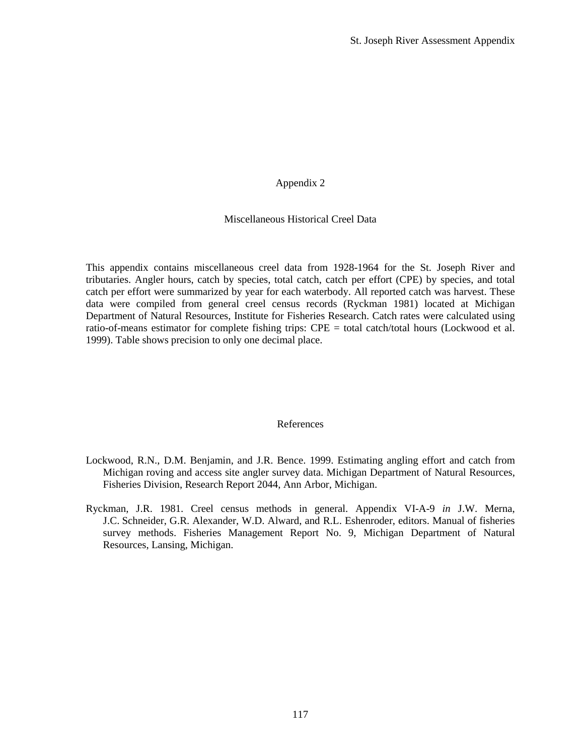#### Appendix 2

#### Miscellaneous Historical Creel Data

This appendix contains miscellaneous creel data from 1928-1964 for the St. Joseph River and tributaries. Angler hours, catch by species, total catch, catch per effort (CPE) by species, and total catch per effort were summarized by year for each waterbody. All reported catch was harvest. These data were compiled from general creel census records (Ryckman 1981) located at Michigan Department of Natural Resources, Institute for Fisheries Research. Catch rates were calculated using ratio-of-means estimator for complete fishing trips: CPE = total catch/total hours (Lockwood et al. 1999). Table shows precision to only one decimal place.

#### References

- Lockwood, R.N., D.M. Benjamin, and J.R. Bence. 1999. Estimating angling effort and catch from Michigan roving and access site angler survey data. Michigan Department of Natural Resources, Fisheries Division, Research Report 2044, Ann Arbor, Michigan.
- Ryckman, J.R. 1981. Creel census methods in general. Appendix VI-A-9 *in* J.W. Merna, J.C. Schneider, G.R. Alexander, W.D. Alward, and R.L. Eshenroder, editors. Manual of fisheries survey methods. Fisheries Management Report No. 9, Michigan Department of Natural Resources, Lansing, Michigan.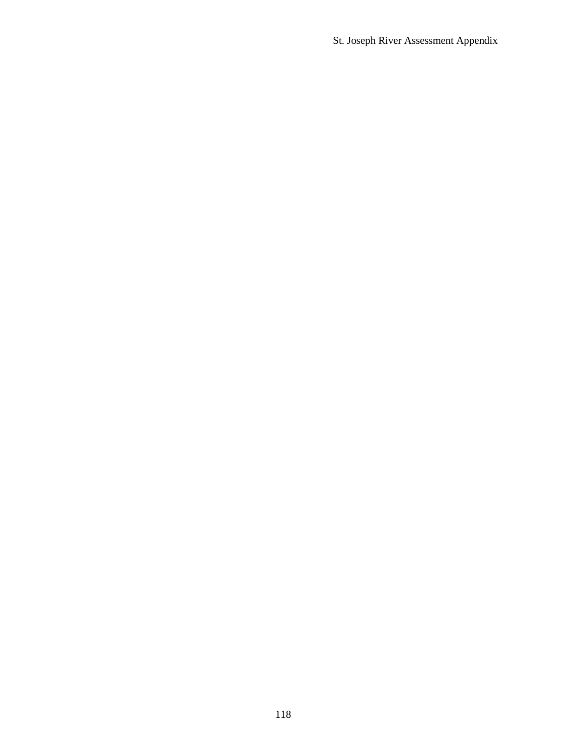St. Joseph River Assessment Appendix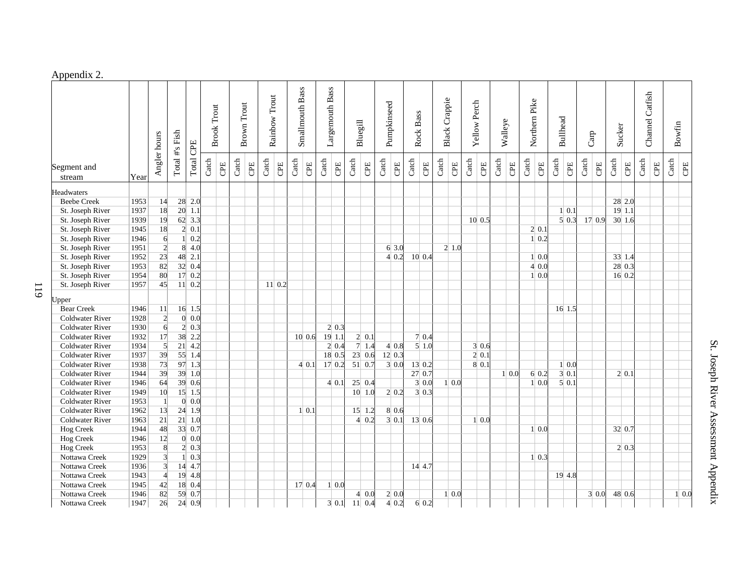|  | Appendix 2. |  |
|--|-------------|--|
|  |             |  |

| $\frac{1}{2}$                        |      |                 |          |                                |       |                    |                    |     |                        |        |                        |               |                 |              |                    |     |             |                |             |                |                      |              |                        |     |              |       |                   |       |                   |       |                         |        |        |                 |     |                       |                   |
|--------------------------------------|------|-----------------|----------|--------------------------------|-------|--------------------|--------------------|-----|------------------------|--------|------------------------|---------------|-----------------|--------------|--------------------|-----|-------------|----------------|-------------|----------------|----------------------|--------------|------------------------|-----|--------------|-------|-------------------|-------|-------------------|-------|-------------------------|--------|--------|-----------------|-----|-----------------------|-------------------|
|                                      |      |                 | #'s Fish | $\rm {CPE}$                    |       | <b>Brook Trout</b> | <b>Brown Trout</b> |     | Rainbow Trout          |        | <b>Smallmouth Bass</b> |               | Largemouth Bass |              | Bluegill           |     | Pumpkinseed |                | Rock Bass   |                | <b>Black Crappie</b> |              | Yellow Perch           |     | Walleye      |       | Northern Pike     |       | Bullhead          |       | $\mathop{\mathrm{Cap}}$ | Sucker |        | Channel Catfish |     | Bowfin                |                   |
| Segment and<br>stream                | Year | Angler hours    | Total    | Total <sup></sup>              | Catch | CPE                | Catch              | CPE | $\operatorname{Catch}$ | CPE    | Catch                  | CPE           | Catch           | CPE          | Catch              | CPE | Catch       | $\mathsf{CPE}$ | Catch       | $\mathsf{CPE}$ | Catch                | CPE          | $\operatorname{Catch}$ | CPE | Catch<br>CPE | Catch | $\mathsf{CPE}$    | Catch | CPE               | Catch | CPE                     | Catch  | CPE    | Catch           | CPE | $\operatorname{Cact}$ | $\mathbf{CPE}$    |
| Headwaters                           |      |                 |          |                                |       |                    |                    |     |                        |        |                        |               |                 |              |                    |     |             |                |             |                |                      |              |                        |     |              |       |                   |       |                   |       |                         |        |        |                 |     |                       |                   |
| <b>Beebe Creek</b>                   | 1953 | 14              |          | $28$ 2.0                       |       |                    |                    |     |                        |        |                        |               |                 |              |                    |     |             |                |             |                |                      |              |                        |     |              |       |                   |       |                   |       |                         |        | 28 2.0 |                 |     |                       |                   |
| St. Joseph River                     | 1937 | $\overline{18}$ |          | $\overline{20}$ 1.1            |       |                    |                    |     |                        |        |                        |               |                 |              |                    |     |             |                |             |                |                      |              |                        |     |              |       |                   |       | $1 \vert 0.1$     |       |                         |        | 191.1  |                 |     |                       |                   |
|                                      | 1939 | 19              |          | $62 \overline{)3.3}$           |       |                    |                    |     |                        |        |                        |               |                 |              |                    |     |             |                |             |                |                      |              | 10 0.5                 |     |              |       |                   |       | $5\,0.3$          |       | 17 0.9                  |        | 30 1.6 |                 |     |                       |                   |
| St. Joseph River<br>St. Joseph River | 1945 | $\overline{18}$ |          | $2\overline{0.1}$              |       |                    |                    |     |                        |        |                        |               |                 |              |                    |     |             |                |             |                |                      |              |                        |     |              |       | 2 0.1             |       |                   |       |                         |        |        |                 |     |                       |                   |
| St. Joseph River                     | 1946 | $6 \vert$       |          | $1\overline{)0.2}$             |       |                    |                    |     |                        |        |                        |               |                 |              |                    |     |             |                |             |                |                      |              |                        |     |              |       | $1\,0.2$          |       |                   |       |                         |        |        |                 |     |                       |                   |
| St. Joseph River                     | 1951 | $\overline{2}$  |          | $8 \overline{)4.0}$            |       |                    |                    |     |                        |        |                        |               |                 |              |                    |     |             | 63.0           |             |                |                      | 2 1.0        |                        |     |              |       |                   |       |                   |       |                         |        |        |                 |     |                       |                   |
| St. Joseph River                     | 1952 | 23              |          | $48$ 2.1                       |       |                    |                    |     |                        |        |                        |               |                 |              |                    |     |             | 4 0.2          | $10\,0.4$   |                |                      |              |                        |     |              |       | $1\vert 0.0$      |       |                   |       |                         |        | 33 1.4 |                 |     |                       |                   |
| St. Joseph River                     | 1953 | 82              |          | $32 \ 0.4$                     |       |                    |                    |     |                        |        |                        |               |                 |              |                    |     |             |                |             |                |                      |              |                        |     |              |       | $4\overline{0.0}$ |       |                   |       |                         |        | 28 0.3 |                 |     |                       |                   |
| St. Joseph River                     | 1954 | 80              |          | 170.2                          |       |                    |                    |     |                        |        |                        |               |                 |              |                    |     |             |                |             |                |                      |              |                        |     |              |       | $1\vert 0.0$      |       |                   |       |                         |        | 16 0.2 |                 |     |                       |                   |
| St. Joseph River                     | 1957 | 45              |          | $11 \ 0.2$                     |       |                    |                    |     |                        | 11 0.2 |                        |               |                 |              |                    |     |             |                |             |                |                      |              |                        |     |              |       |                   |       |                   |       |                         |        |        |                 |     |                       |                   |
|                                      |      |                 |          |                                |       |                    |                    |     |                        |        |                        |               |                 |              |                    |     |             |                |             |                |                      |              |                        |     |              |       |                   |       |                   |       |                         |        |        |                 |     |                       |                   |
| Jpper                                |      |                 |          |                                |       |                    |                    |     |                        |        |                        |               |                 |              |                    |     |             |                |             |                |                      |              |                        |     |              |       |                   |       |                   |       |                         |        |        |                 |     |                       |                   |
| <b>Bear Creek</b>                    | 1946 | 11              |          | $16 \quad 1.5$                 |       |                    |                    |     |                        |        |                        |               |                 |              |                    |     |             |                |             |                |                      |              |                        |     |              |       |                   |       | 161.5             |       |                         |        |        |                 |     |                       |                   |
| <b>Coldwater River</b>               | 1928 | $\overline{2}$  |          | $\overline{0}$ 0.0             |       |                    |                    |     |                        |        |                        |               |                 |              |                    |     |             |                |             |                |                      |              |                        |     |              |       |                   |       |                   |       |                         |        |        |                 |     |                       |                   |
| <b>Coldwater River</b>               | 1930 | $\overline{6}$  |          | $2 \ 0.3$                      |       |                    |                    |     |                        |        |                        |               |                 | 2 0.3        |                    |     |             |                |             |                |                      |              |                        |     |              |       |                   |       |                   |       |                         |        |        |                 |     |                       |                   |
| <b>Coldwater River</b>               | 1932 | 17              |          | 38 2.2                         |       |                    |                    |     |                        |        |                        | $10\,0.6$     | $19$ 1.1        |              | $2 \overline{0.1}$ |     |             |                |             | $7\sqrt{0.4}$  |                      |              |                        |     |              |       |                   |       |                   |       |                         |        |        |                 |     |                       |                   |
| <b>Coldwater River</b>               | 1934 | $\vert$         |          | $21 \mid 4.2$                  |       |                    |                    |     |                        |        |                        |               |                 | 2 0.4        | $7 \ 1.4$          |     |             | 4 0.8          |             | 5 1.0          |                      |              | 3 0.6                  |     |              |       |                   |       |                   |       |                         |        |        |                 |     |                       |                   |
| <b>Coldwater River</b>               | 1937 | $\overline{39}$ |          | $55$ 1.4                       |       |                    |                    |     |                        |        |                        |               | 18 0.5          |              | $23 \ 0.6$         |     |             | 12 0.3         |             |                |                      |              | $\overline{2}$ 0.1     |     |              |       |                   |       |                   |       |                         |        |        |                 |     |                       |                   |
| <b>Coldwater River</b>               | 1938 | $\overline{73}$ |          | $97 \ 1.3$                     |       |                    |                    |     |                        |        |                        | 4 0.1         | 17 0.2          |              | $51 \ 0.7$         |     |             | 3 0.0          | 13 0.2      |                |                      |              | $8\vert 0.1$           |     |              |       |                   |       | $1\overline{0.0}$ |       |                         |        |        |                 |     |                       |                   |
| <b>Coldwater River</b>               | 1944 | $\overline{39}$ |          | $39$ 1.0                       |       |                    |                    |     |                        |        |                        |               |                 |              |                    |     |             |                | 270.7       |                |                      |              |                        |     | $1\vert 0.0$ |       | 6 0.2             |       | 3 0.1             |       |                         |        | 2 0.1  |                 |     |                       |                   |
| Coldwater River                      | 1946 | 64              |          | 39 0.6                         |       |                    |                    |     |                        |        |                        |               |                 | $4\,0.1$     | $25 \ 0.4$         |     |             |                |             | 3 0.0          |                      | $1\vert 0.0$ |                        |     |              |       | $1\vert 0.0$      |       | $5$ 0.1           |       |                         |        |        |                 |     |                       |                   |
| Coldwater River                      | 1949 | 10              |          | $15 \overline{\smash{)}\ 1.5}$ |       |                    |                    |     |                        |        |                        |               |                 |              | $10 \quad 1.0$     |     |             | 2 0.2          |             | 3 0.3          |                      |              |                        |     |              |       |                   |       |                   |       |                         |        |        |                 |     |                       |                   |
| <b>Coldwater River</b>               | 1953 | $\vert$         |          | $0\ 0.0$                       |       |                    |                    |     |                        |        |                        |               |                 |              |                    |     |             |                |             |                |                      |              |                        |     |              |       |                   |       |                   |       |                         |        |        |                 |     |                       |                   |
| <b>Coldwater River</b>               | 1962 | 13              |          | $24 \overline{1.9}$            |       |                    |                    |     |                        |        |                        | $1 \vert 0.1$ |                 |              | $15 \mid 1.2$      |     |             | 8 0.6          |             |                |                      |              |                        |     |              |       |                   |       |                   |       |                         |        |        |                 |     |                       |                   |
| <b>Coldwater River</b>               | 1963 | $\overline{21}$ |          | $21 \ 1.0$                     |       |                    |                    |     |                        |        |                        |               |                 |              | $4 \ 0.2$          |     |             | 3 0.1          | 13 0.6      |                |                      |              | $1\vert 0.0$           |     |              |       |                   |       |                   |       |                         |        |        |                 |     |                       |                   |
| <b>Hog Creek</b>                     | 1944 | 48              |          | 33 0.7                         |       |                    |                    |     |                        |        |                        |               |                 |              |                    |     |             |                |             |                |                      |              |                        |     |              |       | $1\vert 0.0$      |       |                   |       |                         |        | 32 0.7 |                 |     |                       |                   |
| <b>Hog Creek</b>                     | 1946 | $\overline{12}$ |          | $\overline{0}$ 0.0             |       |                    |                    |     |                        |        |                        |               |                 |              |                    |     |             |                |             |                |                      |              |                        |     |              |       |                   |       |                   |       |                         |        |        |                 |     |                       |                   |
| Hog Creek                            | 1953 | 8 <sup>l</sup>  |          | $2 \ 0.3$                      |       |                    |                    |     |                        |        |                        |               |                 |              |                    |     |             |                |             |                |                      |              |                        |     |              |       |                   |       |                   |       |                         |        | 2 0.3  |                 |     |                       |                   |
| Nottawa Creek                        | 1929 | $\overline{3}$  |          | $1 \overline{0.3}$             |       |                    |                    |     |                        |        |                        |               |                 |              |                    |     |             |                |             |                |                      |              |                        |     |              |       | $1 \vert 0.3$     |       |                   |       |                         |        |        |                 |     |                       |                   |
| Nottawa Creek                        | 1936 | $\overline{3}$  |          | $14 \overline{)4.7}$           |       |                    |                    |     |                        |        |                        |               |                 |              |                    |     |             |                | $14 \, 4.7$ |                |                      |              |                        |     |              |       |                   |       |                   |       |                         |        |        |                 |     |                       |                   |
| Nottawa Creek                        | 1943 | $\vert$         |          | $19$ 4.8                       |       |                    |                    |     |                        |        |                        |               |                 |              |                    |     |             |                |             |                |                      |              |                        |     |              |       |                   |       | 19 4.8            |       |                         |        |        |                 |     |                       |                   |
| Nottawa Creek                        | 1945 | $\overline{42}$ |          | $18 \ 0.4$                     |       |                    |                    |     |                        |        | 17 0.4                 |               |                 | $1\vert 0.0$ |                    |     |             |                |             |                |                      |              |                        |     |              |       |                   |       |                   |       |                         |        |        |                 |     |                       |                   |
| Nottawa Creek                        | 1946 | 82              |          | 59 0.7                         |       |                    |                    |     |                        |        |                        |               |                 |              | $4 \ 0.0$          |     |             | 2 0.0          |             |                |                      | $1\vert 0.0$ |                        |     |              |       |                   |       |                   |       | 3 0.0                   |        | 48 0.6 |                 |     |                       | $1\overline{0.0}$ |
| Nottawa Creek                        | 1947 | $\overline{26}$ |          | $24 \overline{0.9}$            |       |                    |                    |     |                        |        |                        |               |                 | 3 0.1        | $11 \ 0.4$         |     |             | 4 0.2          |             | 60.2           |                      |              |                        |     |              |       |                   |       |                   |       |                         |        |        |                 |     |                       |                   |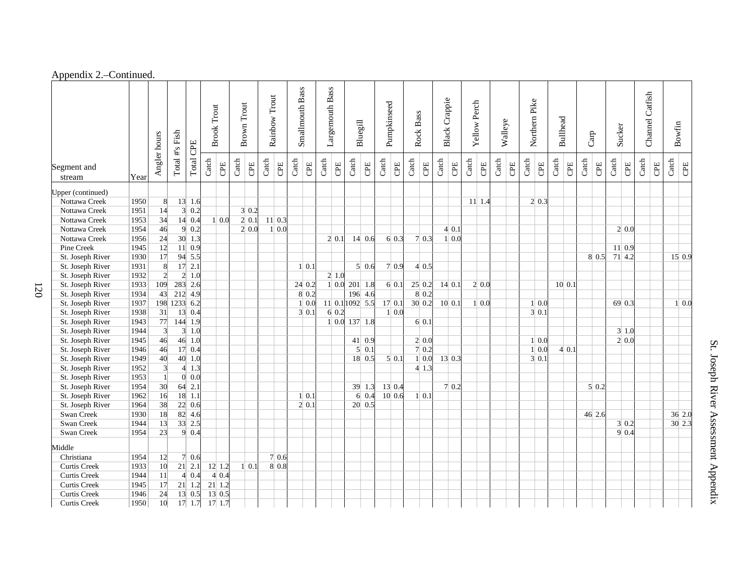|                                      |              |                 |                            |                                | <b>Brook Trout</b> |                   | <b>Brown Trout</b>     |                    | Rainbow Trout |                   | <b>Smallmouth Bass</b> |                   | Largemouth Bass         |       | Bluegill              | Pumpkinseed |              | Rock Bass |                   | <b>Black Crappie</b> |              | Yellow Perch |              | Walleye                |     | Northern Pike                 |                        | Bullhead |       | ${\rm Cap}$  | Sucker      |     | Catfish<br>Channel |     | Bowfin    |                   |
|--------------------------------------|--------------|-----------------|----------------------------|--------------------------------|--------------------|-------------------|------------------------|--------------------|---------------|-------------------|------------------------|-------------------|-------------------------|-------|-----------------------|-------------|--------------|-----------|-------------------|----------------------|--------------|--------------|--------------|------------------------|-----|-------------------------------|------------------------|----------|-------|--------------|-------------|-----|--------------------|-----|-----------|-------------------|
| Segment and<br>stream                | Year         | Angler hours    | Total #'s Fish             | Total CPE                      | Catch              | CPE               | $\operatorname{Catch}$ | CPE                | Catch         | CPE               | Catch                  | CPE               | Catch<br>$\mathsf{CPE}$ | Catch | CPE                   | Catch       | CPE          | Catch     | CPE               | Catch                | CPE          | Catch        | CPE          | $\operatorname{Catch}$ | CPE | $\operatorname{Catch}$<br>CPE | $\operatorname{Catch}$ | CPE      | Catch | CPE          | Catch       | CPE | Catch              | CPE | Catch     | CPE               |
| Jpper (continued)                    |              |                 |                            |                                |                    |                   |                        |                    |               |                   |                        |                   |                         |       |                       |             |              |           |                   |                      |              |              |              |                        |     |                               |                        |          |       |              |             |     |                    |     |           |                   |
| Nottawa Creek                        | 1950         | $\vert 8 \vert$ |                            | $13 \mid 1.6$                  |                    |                   |                        |                    |               |                   |                        |                   |                         |       |                       |             |              |           |                   |                      |              |              | 11 1.4       |                        |     | 2 0.3                         |                        |          |       |              |             |     |                    |     |           |                   |
| Nottawa Creek                        | 1951         | 14              | $\overline{3}$             | $\overline{0.2}$               |                    |                   |                        | 3 0.2              |               |                   |                        |                   |                         |       |                       |             |              |           |                   |                      |              |              |              |                        |     |                               |                        |          |       |              |             |     |                    |     |           |                   |
| Nottawa Creek                        | 1953         | $\overline{34}$ |                            | $14 \ 0.4$                     |                    | $1\overline{0.0}$ |                        | $\overline{2}$ 0.1 |               | $11 \, 0.3$       |                        |                   |                         |       |                       |             |              |           |                   |                      |              |              |              |                        |     |                               |                        |          |       |              |             |     |                    |     |           |                   |
| Nottawa Creek                        | 1954         | 46              |                            | 90.2                           |                    |                   |                        | $2\overline{0.0}$  |               | $1\vert 0.0$      |                        |                   |                         |       |                       |             |              |           |                   |                      | 4 0.1        |              |              |                        |     |                               |                        |          |       |              | $2\,0.0$    |     |                    |     |           |                   |
| Nottawa Creek                        | 1956         | 24              |                            | $30 \overline{)1.3}$           |                    |                   |                        |                    |               |                   |                        |                   | 2 0.1                   |       | $14 \ 0.6$            |             | 6 0.3        |           | $7\,0.3$          |                      | $1\vert 0.0$ |              |              |                        |     |                               |                        |          |       |              |             |     |                    |     |           |                   |
| Pine Creek                           | 1945         | $\overline{12}$ |                            | $11 \ 0.9$                     |                    |                   |                        |                    |               |                   |                        |                   |                         |       |                       |             |              |           |                   |                      |              |              |              |                        |     |                               |                        |          |       |              | 11 0.9      |     |                    |     |           |                   |
| St. Joseph River                     | 1930         | $\overline{17}$ |                            | $94 \overline{)5.5}$           |                    |                   |                        |                    |               |                   |                        |                   |                         |       |                       |             |              |           |                   |                      |              |              |              |                        |     |                               |                        |          |       | $8\,0.5$     | $71 \, 4.2$ |     |                    |     | 150.9     |                   |
| St. Joseph River                     | 1931         | $\vert 8 \vert$ |                            | $17 \ 2.1$                     |                    |                   |                        |                    |               |                   |                        | $1\vert 0.1$      |                         |       | $5\vert 0.6$          |             | 7 0.9        |           | 4 0.5             |                      |              |              |              |                        |     |                               |                        |          |       |              |             |     |                    |     |           |                   |
| St. Joseph River                     | 1932         | $\overline{2}$  |                            | $\overline{2}$ 1.0             |                    |                   |                        |                    |               |                   |                        |                   | 2 1.0                   |       |                       |             |              |           |                   |                      |              |              |              |                        |     |                               |                        |          |       |              |             |     |                    |     |           |                   |
| St. Joseph River                     | 1933         | 109             |                            | 283 2.6                        |                    |                   |                        |                    |               |                   |                        | 24 0.2            |                         |       | $1 \ 0.0 \ 201 \ 1.8$ |             | 6 0.1        |           | 25 0.2            |                      | 14 0.1       |              | 2 0.0        |                        |     |                               |                        | 10 0.1   |       |              |             |     |                    |     |           |                   |
| St. Joseph River                     | 1934         | 43              | 212                        | 4.9                            |                    |                   |                        |                    |               |                   |                        | $8\ 0.2$          |                         |       | $196$ 4.6             |             |              |           | $8 \ 0.2$         |                      |              |              |              |                        |     |                               |                        |          |       |              |             |     |                    |     |           |                   |
| St. Joseph River                     | 1937         | 198             | $1233$ 6.2                 |                                |                    |                   |                        |                    |               |                   |                        | $1\overline{0.0}$ | $11$ 0.1 1092 5.5       |       |                       | 17 0.1      |              |           | 30 0.2            |                      | $10\,0.1$    |              | $1\vert 0.0$ |                        |     | $1\vert 0.0$                  |                        |          |       |              | 69 0.3      |     |                    |     |           | $1\overline{0.0}$ |
| St. Joseph River                     | 1938         | 31              |                            | 13 0.4                         |                    |                   |                        |                    |               |                   |                        | 3 0.1             | 60.2                    |       |                       |             | $1\,0.0$     |           |                   |                      |              |              |              |                        |     | 3 0.1                         |                        |          |       |              |             |     |                    |     |           |                   |
| St. Joseph River                     | 1943         | $\overline{77}$ |                            | $144$ 1.9                      |                    |                   |                        |                    |               |                   |                        |                   |                         |       | $1 \ 0.0 \ 137 \ 1.8$ |             |              |           | $6\,0.1$          |                      |              |              |              |                        |     |                               |                        |          |       |              |             |     |                    |     |           |                   |
| St. Joseph River                     | 1944         | $\overline{3}$  | $\overline{3}$             | 1.0                            |                    |                   |                        |                    |               |                   |                        |                   |                         |       |                       |             |              |           |                   |                      |              |              |              |                        |     |                               |                        |          |       |              | 3 1.0       |     |                    |     |           |                   |
| St. Joseph River                     | 1945         | 46              |                            | 46 1.0                         |                    |                   |                        |                    |               |                   |                        |                   |                         |       | $41 \vert 0.9$        |             |              |           | $2\vert 0.0$      |                      |              |              |              |                        |     | $1\vert 0.0$                  |                        |          |       |              | 20.0        |     |                    |     |           |                   |
| St. Joseph River                     | 1946         | 46              |                            | 17 0.4                         |                    |                   |                        |                    |               |                   |                        |                   |                         |       | $5\vert 0.1$          |             |              |           | 7 0.2             |                      |              |              |              |                        |     | $1\vert 0.0$                  |                        | $4\,0.1$ |       |              |             |     |                    |     |           |                   |
| St. Joseph River                     | 1949         | 40              |                            | $40$ 1.0                       |                    |                   |                        |                    |               |                   |                        |                   |                         |       | 18 0.5                |             | $5\vert 0.1$ |           | $1\overline{0.0}$ |                      | 13 0.3       |              |              |                        |     | 3 0.1                         |                        |          |       |              |             |     |                    |     |           |                   |
| St. Joseph River                     | 1952         | $\overline{3}$  | $\overline{4}$<br>$\Omega$ | 1.3                            |                    |                   |                        |                    |               |                   |                        |                   |                         |       |                       |             |              |           | 41.3              |                      |              |              |              |                        |     |                               |                        |          |       |              |             |     |                    |     |           |                   |
| St. Joseph River<br>St. Joseph River | 1953<br>1954 | $\overline{30}$ |                            | 0.0<br>$64$ 2.1                |                    |                   |                        |                    |               |                   |                        |                   |                         |       | 39 1.3                | 13 0.4      |              |           |                   |                      | $7\,0.2$     |              |              |                        |     |                               |                        |          |       | $5\vert 0.2$ |             |     |                    |     |           |                   |
| St. Joseph River                     | 1962         | 16              |                            | $18$ 1.1                       |                    |                   |                        |                    |               |                   |                        | $1\vert 0.1$      |                         |       | $6 \ 0.4$             | 10 0.6      |              |           | $1\vert 0.1$      |                      |              |              |              |                        |     |                               |                        |          |       |              |             |     |                    |     |           |                   |
| St. Joseph River                     | 1964         | $\overline{38}$ |                            | 22 0.6                         |                    |                   |                        |                    |               |                   |                        | 2 0.1             |                         |       | 20 0.5                |             |              |           |                   |                      |              |              |              |                        |     |                               |                        |          |       |              |             |     |                    |     |           |                   |
| <b>Swan Creek</b>                    | 1930         | 18              |                            | $82 \ 4.6$                     |                    |                   |                        |                    |               |                   |                        |                   |                         |       |                       |             |              |           |                   |                      |              |              |              |                        |     |                               |                        |          |       | 46 2.6       |             |     |                    |     | 36 2.0    |                   |
| Swan Creek                           | 1944         | $\overline{13}$ |                            | $33 \overline{\smash{)}\ 2.5}$ |                    |                   |                        |                    |               |                   |                        |                   |                         |       |                       |             |              |           |                   |                      |              |              |              |                        |     |                               |                        |          |       |              | 3 0.2       |     |                    |     | $30\,2.3$ |                   |
| Swan Creek                           | 1954         | $\overline{23}$ |                            | 90.4                           |                    |                   |                        |                    |               |                   |                        |                   |                         |       |                       |             |              |           |                   |                      |              |              |              |                        |     |                               |                        |          |       |              | 90.4        |     |                    |     |           |                   |
|                                      |              |                 |                            |                                |                    |                   |                        |                    |               |                   |                        |                   |                         |       |                       |             |              |           |                   |                      |              |              |              |                        |     |                               |                        |          |       |              |             |     |                    |     |           |                   |
| Aiddle                               |              |                 |                            |                                |                    |                   |                        |                    |               |                   |                        |                   |                         |       |                       |             |              |           |                   |                      |              |              |              |                        |     |                               |                        |          |       |              |             |     |                    |     |           |                   |
| Christiana                           | 1954         | 12              |                            | $7\vert 0.6$                   |                    |                   |                        |                    |               | $7\,0.6$          |                        |                   |                         |       |                       |             |              |           |                   |                      |              |              |              |                        |     |                               |                        |          |       |              |             |     |                    |     |           |                   |
| Curtis Creek                         | 1933         | 10              |                            | $21 \ 2.1$                     |                    | $12$ 1.2          |                        | $1\vert 0.1$       |               | $8\overline{0.8}$ |                        |                   |                         |       |                       |             |              |           |                   |                      |              |              |              |                        |     |                               |                        |          |       |              |             |     |                    |     |           |                   |
| <b>Curtis Creek</b>                  | 1944         | $\overline{11}$ | $\overline{4}$             | 0.4                            |                    | 40.4              |                        |                    |               |                   |                        |                   |                         |       |                       |             |              |           |                   |                      |              |              |              |                        |     |                               |                        |          |       |              |             |     |                    |     |           |                   |
| <b>Curtis Creek</b>                  | 1945         | 17              |                            | $21 \ 1.2$                     |                    | $21 \, 1.2$       |                        |                    |               |                   |                        |                   |                         |       |                       |             |              |           |                   |                      |              |              |              |                        |     |                               |                        |          |       |              |             |     |                    |     |           |                   |
| <b>Curtis Creek</b>                  | 1946         | 24              |                            | 13 0.5                         |                    | 13 0.5            |                        |                    |               |                   |                        |                   |                         |       |                       |             |              |           |                   |                      |              |              |              |                        |     |                               |                        |          |       |              |             |     |                    |     |           |                   |
| Curtis Creek                         | 1950         | $\overline{10}$ |                            | $17$ 1.7                       |                    | $17$ 1.7          |                        |                    |               |                   |                        |                   |                         |       |                       |             |              |           |                   |                      |              |              |              |                        |     |                               |                        |          |       |              |             |     |                    |     |           |                   |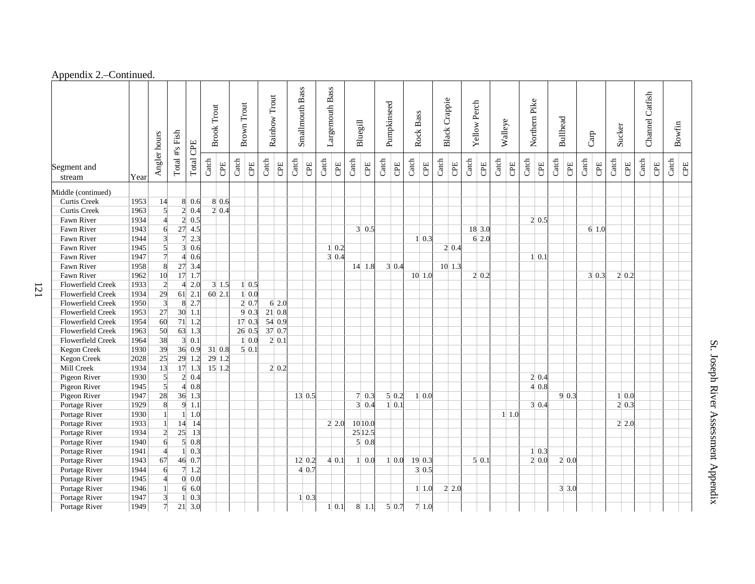|                          |      |                 |                         | CPE                          | <b>Brook Trout</b> |              | <b>Brown Trout</b> |                   | Rainbow Trout          |     | <b>Smallmouth Bass</b> | Largemouth Bass |                     | Bluegill               |              | Pumpkinseed |              | Rock Bass |                   | <b>Black Crappie</b> |           | Yellow Perch           |     | Walleye      |       | Northern Pike |       | Bullhead                  | Carp                   |                     |       | Sucker            | Catfish<br>Channel |     | Bowfin                 |                |
|--------------------------|------|-----------------|-------------------------|------------------------------|--------------------|--------------|--------------------|-------------------|------------------------|-----|------------------------|-----------------|---------------------|------------------------|--------------|-------------|--------------|-----------|-------------------|----------------------|-----------|------------------------|-----|--------------|-------|---------------|-------|---------------------------|------------------------|---------------------|-------|-------------------|--------------------|-----|------------------------|----------------|
| Segment and<br>stream    | Year | Angler hours    | Total #'s Fish          | Total                        | Catch              | CPE          | Catch              | CPE               | $\operatorname{Catch}$ | CPE | Catch<br>CPE           | Catch           | CPE                 | $\operatorname{Catch}$ | CPE          | Catch       | CPE          | Catch     | CPE               | Catch                | CPE       | $\operatorname{Catch}$ | CPE | Catch<br>CPE | Catch | CPE           | Catch | CPE                       | $\operatorname{Catch}$ | CPE                 | Catch | $\mathsf{CPE}$    | Catch              | CPE | $\operatorname{Catch}$ | $\mathsf{CPE}$ |
|                          |      |                 |                         |                              |                    |              |                    |                   |                        |     |                        |                 |                     |                        |              |             |              |           |                   |                      |           |                        |     |              |       |               |       |                           |                        |                     |       |                   |                    |     |                        |                |
| Middle (continued)       |      |                 |                         |                              |                    |              |                    |                   |                        |     |                        |                 |                     |                        |              |             |              |           |                   |                      |           |                        |     |              |       |               |       |                           |                        |                     |       |                   |                    |     |                        |                |
| <b>Curtis Creek</b>      | 1953 | 14              |                         | $8 \ 0.6$                    |                    | $8\,0.6$     |                    |                   |                        |     |                        |                 |                     |                        |              |             |              |           |                   |                      |           |                        |     |              |       |               |       |                           |                        |                     |       |                   |                    |     |                        |                |
| <b>Curtis Creek</b>      | 1963 | $\mathbf{5}$    | $\overline{2}$          | 0.4                          |                    | 2 0.4        |                    |                   |                        |     |                        |                 |                     |                        |              |             |              |           |                   |                      |           |                        |     |              |       |               |       |                           |                        |                     |       |                   |                    |     |                        |                |
| Fawn River               | 1934 |                 | $\overline{2}$          | 0.5                          |                    |              |                    |                   |                        |     |                        |                 |                     |                        |              |             |              |           |                   |                      |           |                        |     |              |       | 2 0.5         |       |                           |                        |                     |       |                   |                    |     |                        |                |
| Fawn River               | 1943 | $6 \vert$       | 27                      | 4.5                          |                    |              |                    |                   |                        |     |                        |                 |                     |                        | $3 \ 0.5$    |             |              |           |                   |                      |           | $18 \vert 3.0$         |     |              |       |               |       |                           |                        | $6 \overline{)1.0}$ |       |                   |                    |     |                        |                |
| Fawn River               | 1944 | 3 <sup>1</sup>  | 7                       | 2.3                          |                    |              |                    |                   |                        |     |                        |                 |                     |                        |              |             |              |           | $1 \ 0.3$         |                      |           | $6\overline{)2.0}$     |     |              |       |               |       |                           |                        |                     |       |                   |                    |     |                        |                |
| Fawn River               | 1945 | 5 <sup>1</sup>  | $\overline{\mathbf{3}}$ | 0.6                          |                    |              |                    |                   |                        |     |                        |                 | $1 \ 0.2$           |                        |              |             |              |           |                   |                      | 2 0.4     |                        |     |              |       |               |       |                           |                        |                     |       |                   |                    |     |                        |                |
| Fawn River               | 1947 |                 | Δ                       | 0.6                          |                    |              |                    |                   |                        |     |                        |                 | $3 \ 0.4$           |                        |              |             |              |           |                   |                      |           |                        |     |              |       | $1\vert 0.1$  |       |                           |                        |                     |       |                   |                    |     |                        |                |
| Fawn River               | 1958 | 8 <sup>1</sup>  |                         | $27 \overline{)3.4}$         |                    |              |                    |                   |                        |     |                        |                 |                     |                        | 14 1.8       |             | 3 0.4        |           |                   |                      | $10$ 1.3  |                        |     |              |       |               |       |                           |                        |                     |       |                   |                    |     |                        |                |
| Fawn River               | 1962 | 10              |                         | $17 \overline{1.7}$          |                    |              |                    |                   |                        |     |                        |                 |                     |                        |              |             |              |           | 10 1.0            |                      |           | 2 0.2                  |     |              |       |               |       |                           |                        | 3 0.3               |       | 2 0.2             |                    |     |                        |                |
| <b>Flowerfield Creek</b> | 1933 | $\overline{2}$  | $\overline{4}$          | 2.0                          |                    | $3 \mid 1.5$ |                    | $1 \vert 0.5$     |                        |     |                        |                 |                     |                        |              |             |              |           |                   |                      |           |                        |     |              |       |               |       |                           |                        |                     |       |                   |                    |     |                        |                |
| <b>Flowerfield Creek</b> | 1934 | 29              |                         | $61 \ 2.1$                   |                    | $60\,2.1$    |                    | $1\vert 0.0$      |                        |     |                        |                 |                     |                        |              |             |              |           |                   |                      |           |                        |     |              |       |               |       |                           |                        |                     |       |                   |                    |     |                        |                |
| <b>Flowerfield Creek</b> | 1950 | $\overline{3}$  |                         | $8 \ 2.7$                    |                    |              |                    | 2 0.7             | 62.0                   |     |                        |                 |                     |                        |              |             |              |           |                   |                      |           |                        |     |              |       |               |       |                           |                        |                     |       |                   |                    |     |                        |                |
| <b>Flowerfield Creek</b> | 1953 | $\overline{27}$ |                         | $30 \quad 1.1$               |                    |              |                    | 9 0.3             | $21 \ 0.8$             |     |                        |                 |                     |                        |              |             |              |           |                   |                      |           |                        |     |              |       |               |       |                           |                        |                     |       |                   |                    |     |                        |                |
| Flowerfield Creek        | 1954 | 60              |                         | $71$ 1.2                     |                    |              |                    | 17 0.3            | 540.9                  |     |                        |                 |                     |                        |              |             |              |           |                   |                      |           |                        |     |              |       |               |       |                           |                        |                     |       |                   |                    |     |                        |                |
| <b>Flowerfield Creek</b> | 1963 | 50              |                         | $63$ 1.3                     |                    |              |                    | 26 0.5            | 370.7                  |     |                        |                 |                     |                        |              |             |              |           |                   |                      |           |                        |     |              |       |               |       |                           |                        |                     |       |                   |                    |     |                        |                |
| <b>Flowerfield Creek</b> | 1964 | $\overline{38}$ |                         | 3 0.1                        |                    |              |                    | $1\overline{0.0}$ | 2 0.1                  |     |                        |                 |                     |                        |              |             |              |           |                   |                      |           |                        |     |              |       |               |       |                           |                        |                     |       |                   |                    |     |                        |                |
| Kegon Creek              | 1930 | $\overline{39}$ |                         | 360.9                        |                    | 31 0.8       |                    | 50.1              |                        |     |                        |                 |                     |                        |              |             |              |           |                   |                      |           |                        |     |              |       |               |       |                           |                        |                     |       |                   |                    |     |                        |                |
| Kegon Creek              | 2028 | $\overline{25}$ |                         | 29 1.2                       |                    | 29 1.2       |                    |                   |                        |     |                        |                 |                     |                        |              |             |              |           |                   |                      |           |                        |     |              |       |               |       |                           |                        |                     |       |                   |                    |     |                        |                |
| Mill Creek               | 1934 | 13              |                         | $17 \ 1.3$                   |                    | 15 1.2       |                    |                   | 2 0.2                  |     |                        |                 |                     |                        |              |             |              |           |                   |                      |           |                        |     |              |       |               |       |                           |                        |                     |       |                   |                    |     |                        |                |
| Pigeon River             | 1930 | $\overline{5}$  | $\overline{2}$          | 0.4                          |                    |              |                    |                   |                        |     |                        |                 |                     |                        |              |             |              |           |                   |                      |           |                        |     |              |       | 2 0.4         |       |                           |                        |                     |       |                   |                    |     |                        |                |
| Pigeon River             | 1945 | $\vert$         |                         | $4\,0.8$                     |                    |              |                    |                   |                        |     |                        |                 |                     |                        |              |             |              |           |                   |                      |           |                        |     |              |       | $4\,0.8$      |       |                           |                        |                     |       |                   |                    |     |                        |                |
| Pigeon River             | 1947 | 28              |                         | $36 \; 1.3$                  |                    |              |                    |                   |                        |     | 13 0.5                 |                 |                     |                        | $7\,0.3$     |             | $5\vert 0.2$ |           | $1\overline{0.0}$ |                      |           |                        |     |              |       |               |       | 90.3                      |                        |                     |       | $1\overline{0.0}$ |                    |     |                        |                |
| Portage River            | 1929 | $\overline{8}$  |                         | $9 \; 1.1$                   |                    |              |                    |                   |                        |     |                        |                 |                     |                        | $3 \ 0.4$    |             | $1\vert 0.1$ |           |                   |                      |           |                        |     |              |       | 3 0.4         |       |                           |                        |                     |       | 2 0.3             |                    |     |                        |                |
| Portage River            | 1930 |                 |                         | 1.0                          |                    |              |                    |                   |                        |     |                        |                 |                     |                        |              |             |              |           |                   |                      |           |                        |     | $1 \, 1.0$   |       |               |       |                           |                        |                     |       |                   |                    |     |                        |                |
| Portage River            | 1933 | 1               | 14                      | 14                           |                    |              |                    |                   |                        |     |                        |                 | $2\overline{2.0}$   |                        | 10 10 .0     |             |              |           |                   |                      |           |                        |     |              |       |               |       |                           |                        |                     |       | $2 \ 2.0$         |                    |     |                        |                |
| Portage River            | 1934 | $2\vert$        | 25                      | $\overline{13}$              |                    |              |                    |                   |                        |     |                        |                 |                     |                        | 25 12.5      |             |              |           |                   |                      |           |                        |     |              |       |               |       |                           |                        |                     |       |                   |                    |     |                        |                |
| Portage River            | 1940 | $6 \vert$       | 5 <sup>1</sup>          | 0.8                          |                    |              |                    |                   |                        |     |                        |                 |                     |                        | $5\vert 0.8$ |             |              |           |                   |                      |           |                        |     |              |       |               |       |                           |                        |                     |       |                   |                    |     |                        |                |
| Portage River            | 1941 | $\overline{4}$  |                         | 0.3                          |                    |              |                    |                   |                        |     |                        |                 |                     |                        |              |             |              |           |                   |                      |           |                        |     |              |       | $1 \vert 0.3$ |       |                           |                        |                     |       |                   |                    |     |                        |                |
| Portage River            | 1943 | 67              |                         | $46$ 0.7                     |                    |              |                    |                   |                        |     | 12 0.2                 |                 | $4\,0.1$            |                        | $1\vert 0.0$ |             | $1\vert 0.0$ |           | $19 \ 0.3$        |                      |           | $5\vert 0.1$           |     |              |       | $2\vert 0.0$  |       | $2\overline{0.0}$         |                        |                     |       |                   |                    |     |                        |                |
| Portage River            | 1944 | $\overline{6}$  | 7                       | 1.2                          |                    |              |                    |                   |                        |     | 4 0.7                  |                 |                     |                        |              |             |              |           | 3 0.5             |                      |           |                        |     |              |       |               |       |                           |                        |                     |       |                   |                    |     |                        |                |
| Portage River            | 1945 | $\overline{4}$  |                         | $\overline{0}$ 0.0           |                    |              |                    |                   |                        |     |                        |                 |                     |                        |              |             |              |           |                   |                      |           |                        |     |              |       |               |       |                           |                        |                     |       |                   |                    |     |                        |                |
| Portage River            | 1946 |                 | 6                       | 6.0                          |                    |              |                    |                   |                        |     |                        |                 |                     |                        |              |             |              |           | $1 \vert 1.0$     |                      | $2 \ 2.0$ |                        |     |              |       |               |       | $3 \overline{\smash)3.0}$ |                        |                     |       |                   |                    |     |                        |                |
| Portage River            | 1947 | 3               |                         | 0.3                          |                    |              |                    |                   |                        |     | $1 \vert 0.3$          |                 |                     |                        |              |             |              |           |                   |                      |           |                        |     |              |       |               |       |                           |                        |                     |       |                   |                    |     |                        |                |
| Portage River            | 1949 | 71              |                         | $21 \overline{\smash{)}3.0}$ |                    |              |                    |                   |                        |     |                        |                 | $1 \vert 0.1 \vert$ |                        | $8 \ 1.1$    |             | 5 0.7        |           | $7\vert 1.0$      |                      |           |                        |     |              |       |               |       |                           |                        |                     |       |                   |                    |     |                        |                |
|                          |      |                 |                         |                              |                    |              |                    |                   |                        |     |                        |                 |                     |                        |              |             |              |           |                   |                      |           |                        |     |              |       |               |       |                           |                        |                     |       |                   |                    |     |                        |                |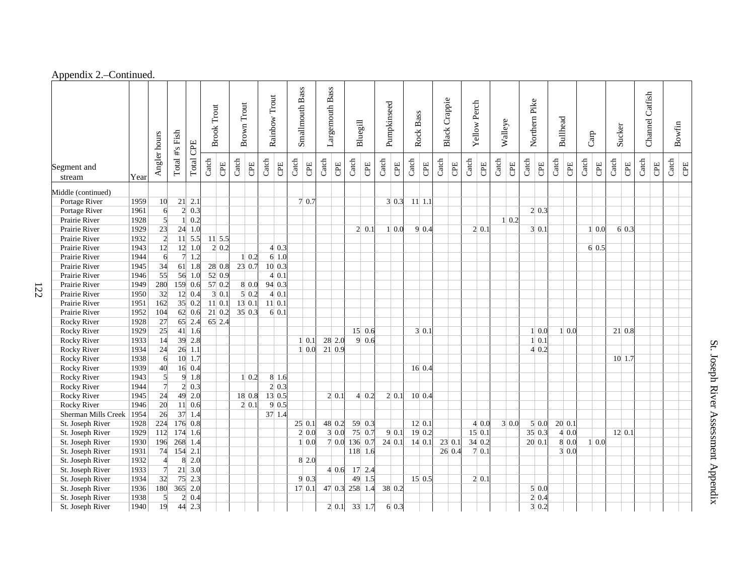| <b>Smallmouth Bass</b><br>Largemouth Bass<br>Channel Catfish<br>Rainbow Trout<br><b>Black Crappie</b><br>Northern Pike<br>Yellow Perch<br>Pumpkinseed<br><b>Brown Trout</b><br><b>Brook Trout</b><br>Rock Bass<br>Bullhead<br>Walleye<br>Bluegill<br>Sucker<br>Total #'s Fish<br>$\mbox{Cap}$<br>Angler hours<br>CPE | Bowfin                |
|----------------------------------------------------------------------------------------------------------------------------------------------------------------------------------------------------------------------------------------------------------------------------------------------------------------------|-----------------------|
| <b>Total</b><br>Catch<br>$\operatorname{Catch}$<br>Catch<br>$\operatorname{Catch}$<br>$\operatorname{Cact}$<br>Catch<br>Catch<br>$\operatorname{Catch}$<br>$\operatorname{Catch}$<br>Catch<br>Catch<br>Catch<br>$\operatorname{Catch}$<br>$\operatorname{Catch}$<br>Catch<br>Catch<br>Segment and                    | $\operatorname{Cact}$ |
| CPE<br>CPE<br>CPE<br>CPE<br>CPE<br>CPE<br>$\mathsf{CPE}$<br>CPE<br>CPE<br>CPE<br>CPE<br>CPE<br>CPE<br>CPE<br>CPE<br>CPE<br>Year<br>stream                                                                                                                                                                            | $\rm{CPE}$            |
|                                                                                                                                                                                                                                                                                                                      |                       |
| Middle (continued)<br>$21 \ 2.1$<br>1959<br>10 <sup>l</sup><br>7 0.7<br>3 0.3<br>11 1.1<br>Portage River                                                                                                                                                                                                             |                       |
| $2 \ 0.3$<br>1961<br>$6 \vert$<br>2 0.3<br>Portage River                                                                                                                                                                                                                                                             |                       |
| $\overline{5}$<br>Prairie River<br>1928<br>$1\vert 0.2$<br>$1\vert$<br>0.2                                                                                                                                                                                                                                           |                       |
| 23 <br>$24 \overline{1.0}$<br>Prairie River<br>1929<br>$2 \ 0.1$<br>3 0.1<br>$1\vert 0.0$<br>90.4<br>2 0.1<br>$1\vert 0.0$<br>6 0.3                                                                                                                                                                                  |                       |
| $\overline{2}$<br>Prairie River<br>1932<br>$11 \, 5.5$<br>$11 \, 5.5$                                                                                                                                                                                                                                                |                       |
| $12$ 1.0<br>Prairie River<br>12<br>$2\ 0.2$<br>40.3<br>1943<br>60.5                                                                                                                                                                                                                                                  |                       |
| $7 \mid 1.2$<br>61.0<br>Prairie River<br>1944<br>$6 \vert$<br>$1 \vert 0.2$                                                                                                                                                                                                                                          |                       |
| $\overline{34}$<br>23 0.7<br>$10\,0.3$<br>Prairie River<br>1945<br>$61$ 1.8<br>28 0.8                                                                                                                                                                                                                                |                       |
| $\overline{55}$<br>$56$ 1.0<br>4 0.1<br>52 0.9<br>Prairie River<br>1946                                                                                                                                                                                                                                              |                       |
| 280<br>$159$ 0.6<br>570.2<br>940.3<br>Prairie River<br>1949<br>8 0.0                                                                                                                                                                                                                                                 |                       |
| $\overline{32}$<br>$12 \ 0.4$<br>3 0.1<br>5 0.2<br>$4\,0.1$<br>Prairie River<br>1950                                                                                                                                                                                                                                 |                       |
| 162<br>35 0.2<br>13 0.1<br>Prairie River<br>11 0.1<br>11 0.1<br>1951                                                                                                                                                                                                                                                 |                       |
| 62 0.6<br>35 0.3<br>Prairie River<br>104<br>21 0.2<br>60.1<br>1952                                                                                                                                                                                                                                                   |                       |
| 27<br>$65$ 2.4<br><b>Rocky River</b><br>1928<br>65 2.4                                                                                                                                                                                                                                                               |                       |
| $\overline{25}$<br>$41$ 1.6<br><b>Rocky River</b><br>1929<br>$15 \ 0.6$<br>3 0.1<br>$1\vert 0.0$<br>$1\vert 0.0$<br>21 0.8                                                                                                                                                                                           |                       |
| $\overline{14}$<br>$39 \ 2.8$<br>90.6<br>Rocky River<br>1933<br>28 2.0<br>$1\vert 0.1$<br>$1\vert 0.1$                                                                                                                                                                                                               |                       |
| $26 \overline{1.1}$<br>24<br>21 0.9<br><b>Rocky River</b><br>1934<br>$1\vert 0.0$<br>4 0.2                                                                                                                                                                                                                           |                       |
| $10 \overline{)1.7}$<br><b>Rocky River</b><br>1938<br>6 <sup>1</sup><br>$10\,1.7$                                                                                                                                                                                                                                    |                       |
| 40<br>$16 \ 0.4$<br>Rocky River<br>1939<br>16 0.4                                                                                                                                                                                                                                                                    |                       |
| $\mathbf{5}$<br>$9 \ 1.8$<br>$1 \vert 0.2$<br>$8 \ 1.6$<br><b>Rocky River</b><br>1943                                                                                                                                                                                                                                |                       |
| $\overline{2}$ 0.3<br>$2\overline{0.3}$<br>7 <sup>1</sup><br><b>Rocky River</b><br>1944                                                                                                                                                                                                                              |                       |
| $\overline{24}$<br>13 0.5<br>$10\ 0.4$<br>Rocky River<br>1945<br>$49$ 2.0<br>18 0.8<br>2 0.1<br>$4 \ 0.2$<br>2 0.1                                                                                                                                                                                                   |                       |
| $\overline{20}$<br>2 0.1<br>90.5<br><b>Rocky River</b><br>1946<br>11 0.6                                                                                                                                                                                                                                             |                       |
| $37 \overline{\smash{)}1.4}$<br>26<br>37 1.4<br>Sherman Mills Creek<br>1954                                                                                                                                                                                                                                          |                       |
| 224<br>$176$ 0.8<br>St. Joseph River<br>25 0.1<br>48 0.2<br>$59$ 0.3<br>12 0.1<br>4 0.0<br>3 0.0<br>$5\vert 0.0$<br>$20\,0.1$<br>1928                                                                                                                                                                                |                       |
| $75$ 0.7<br>2 0.0<br>3 0.0<br>190.2<br>35 0.3<br>40.0<br>1929<br>112<br>$174$ 1.6<br>9 0.1<br>15 0.1<br>12 0.1<br>St. Joseph River<br>$7\,0.0$                                                                                                                                                                       |                       |
| 1930<br>196<br>268 1.4<br>136 0.7<br>24 0.1<br>14 0.1<br>23 0.1<br>34 0.2<br>$8\,0.0$<br>St. Joseph River<br>$1\vert 0.0$<br>20 0.1<br>$1\vert 0.0$<br>$118$ 1.6<br>7 0.1                                                                                                                                            |                       |
| 74<br>$154$ 2.1<br>St. Joseph River<br>1931<br>26 0.4<br>3 0.0<br>1932<br>8<br>2.0<br>$8 \ 2.0$<br>St. Joseph River<br>$\overline{4}$                                                                                                                                                                                |                       |
| $\overline{\mathcal{U}}$<br>$21 \overline{)3.0}$<br>$17 \ 2.4$<br>St. Joseph River<br>1933<br>40.6                                                                                                                                                                                                                   |                       |
| $\overline{32}$<br>$75 \overline{\smash{)}2.3}$<br>$49$ 1.5<br>St. Joseph River<br>1934<br>$9 \ 0.3$<br>15 0.5<br>2 0.1                                                                                                                                                                                              |                       |
| 180<br>$365$ 2.0<br>1936<br>47 0.3 258 1.4<br>38 0.2<br>$5\vert 0.0$<br>St. Joseph River<br>17 0.1                                                                                                                                                                                                                   |                       |
| 2 0.4<br>1938<br>St. Joseph River<br>$\mathfrak{g}$<br>$\overline{2}$<br>0.4                                                                                                                                                                                                                                         |                       |
| $44 \ 2.3$<br>1940<br>19<br>$33 \mid 1.7$<br>3 0.2<br>St. Joseph River<br>2 0.1 <br>6 0.3                                                                                                                                                                                                                            |                       |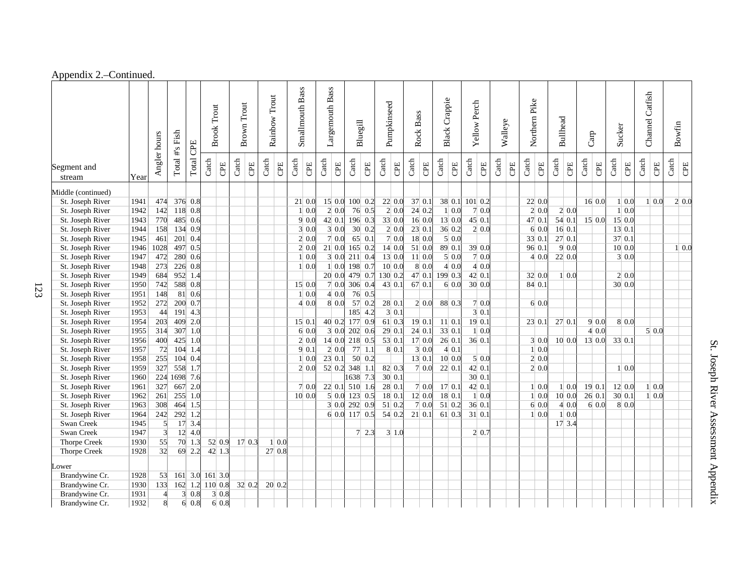|                       |      | Angler hours     | Total #'s Fish  | CPE                          | <b>Brook Trout</b> |                   | <b>Brown Trout</b> |        | Rainbow Trout |              | <b>Smallmouth Bass</b> | Largemouth Bass    |                        | Bluegill       |                        | Pumpkinseed        |       | Rock Bass          | <b>Black Crappie</b> |     | Yellow Perch      | Walleye |     | Northern Pike     | Bullhead |                   | Carp  |        | Sucker |                   | Channel Catfish |              | Bowfin |              |
|-----------------------|------|------------------|-----------------|------------------------------|--------------------|-------------------|--------------------|--------|---------------|--------------|------------------------|--------------------|------------------------|----------------|------------------------|--------------------|-------|--------------------|----------------------|-----|-------------------|---------|-----|-------------------|----------|-------------------|-------|--------|--------|-------------------|-----------------|--------------|--------|--------------|
| Segment and<br>stream | Year |                  |                 | Total                        | Catch              | CPE               | Catch              | CPE    | Catch         | CPE          | Catch<br>CPE           | Catch<br>CPE       | $\operatorname{Catch}$ | CPE            | $\operatorname{Catch}$ | CPE                | Catch | CPE                | Catch                | CPE | Catch<br>CPE      | Catch   | CPE | Catch<br>CPE      | Catch    | CPE               | Catch | CPE    | Catch  | $\mathsf{CPE}$    | Catch           | CPE          | Catch  | CPE          |
| Middle (continued)    |      |                  |                 |                              |                    |                   |                    |        |               |              |                        |                    |                        |                |                        |                    |       |                    |                      |     |                   |         |     |                   |          |                   |       |        |        |                   |                 |              |        |              |
| St. Joseph River      | 1941 | 474              | 376 0.8         |                              |                    |                   |                    |        |               |              | 21 0.0                 | 15 0.0             |                        | $100 \ 0.2$    |                        | 22 0.0             |       | 37 0.1             | 38 0.1               |     | $101 \ 0.2$       |         |     | 22 0.0            |          |                   |       | 16 0.0 |        | $1\vert 0.0$      |                 | 1 0.0        |        | $2\vert 0.0$ |
| St. Joseph River      | 1942 | 142              | 118 0.8         |                              |                    |                   |                    |        |               |              | $1\vert 0.0$           | $\overline{2}$ 0.0 |                        | 76 0.5         |                        | 2 0.0              |       | 24 0.2             | $1\vert 0.0$         |     | $7\vert 0.0$      |         |     | 2 0.0             |          | $2\overline{0.0}$ |       |        |        | $1\overline{0.0}$ |                 |              |        |              |
| St. Joseph River      | 1943 | 770              | $485$ 0.6       |                              |                    |                   |                    |        |               |              | 90.0                   | 42 0.1             |                        | $196$ 0.3      |                        | 33 0.0             |       | 16 0.0             | 13 0.0               |     | 45 0.1            |         |     | 47 0.1            | 54 0.1   |                   |       | 15 0.0 |        | 15 0.0            |                 |              |        |              |
| St. Joseph River      | 1944 | 158              | $134 \ 0.9$     |                              |                    |                   |                    |        |               |              | 3 0.0                  | 3 0.0              |                        | $30 \ 0.2$     |                        | 2 0.0              |       | 23 0.1             | 36 0.2               |     | 2 0.0             |         |     | $6\,0.0$          | 16 0.1   |                   |       |        |        | 13 0.1            |                 |              |        |              |
| St. Joseph River      | 1945 | 461              | $201 \ 0.4$     |                              |                    |                   |                    |        |               |              | 2 0.0                  | $7\,0.0$           |                        | $65$ 0.1       |                        | 7 0.0              |       | 180.0              | 5 0.0                |     |                   |         |     | 33 0.1            |          | 27 0.1            |       |        |        | 37 0.1            |                 |              |        |              |
| St. Joseph River      | 1946 | 1028             | $497$ 0.5       |                              |                    |                   |                    |        |               |              | $2\vert 0.0$           | 21 0.0             |                        | $165$ 0.2      |                        | 14 0.0             |       | 51 0.0             | 89 0.1               |     | 39 0.0            |         |     | 96 0.1            |          | 90.0              |       |        |        | 10 0.0            |                 |              |        | $1\vert 0.0$ |
| St. Joseph River      | 1947 | 472              | $280$ 0.6       |                              |                    |                   |                    |        |               |              | $1\vert 0.0$           | 3 0.0              |                        | $211 \ 0.4$    |                        | 13 0.0             |       | 11 0.0             | $5\vert 0.0$         |     | 7 0.0             |         |     | 4 0.0             | 22 0.0   |                   |       |        |        | 3 0.0             |                 |              |        |              |
| St. Joseph River      | 1948 | 273              | 226 0.8         |                              |                    |                   |                    |        |               |              | $1\vert 0.0$           | $1\overline{0.0}$  |                        | 198 0.7        |                        | $10\,0.0$          |       | $8\,0.0$           | $4\,0.0$             |     | 4 0.0             |         |     |                   |          |                   |       |        |        |                   |                 |              |        |              |
| St. Joseph River      | 1949 | 684              | 952 1.4         |                              |                    |                   |                    |        |               |              |                        | $20\ 0.0$          |                        | 479 0.7        |                        | 130 0.2            |       | 47 0.1             | 199 0.3              |     | 42 0.1            |         |     | 32 0.0            |          | $1\vert 0.0$      |       |        |        | $2\vert 0.0$      |                 |              |        |              |
| St. Joseph River      | 1950 | 742              | 588 0.8         |                              |                    |                   |                    |        |               |              | 15 0.0                 | $7\vert 0.0$       |                        | $306$ 0.4      |                        | 43 0.1             |       | $67$ 0.1           | $6\,0.0$             |     | 30 0.0            |         |     | 84 0.1            |          |                   |       |        |        | 30 0.0            |                 |              |        |              |
| St. Joseph River      | 1951 | 148              |                 | $81 \ 0.6$                   |                    |                   |                    |        |               |              | $1\vert 0.0$           | 40.0               |                        | $76$ 0.5       |                        |                    |       |                    |                      |     |                   |         |     |                   |          |                   |       |        |        |                   |                 |              |        |              |
| St. Joseph River      | 1952 | 272              | $200 \ 0.7$     |                              |                    |                   |                    |        |               |              | $\overline{4}$ 0.0     | $8\,0.0$           |                        | 570.2          |                        | 28 0.1             |       | 2 0.0              | 88 0.3               |     | $7\,0.0$          |         |     | 60.0              |          |                   |       |        |        |                   |                 |              |        |              |
| St. Joseph River      | 1953 | 44               | $191$ 4.3       |                              |                    |                   |                    |        |               |              |                        |                    |                        | 185 4.2        |                        | $\overline{3}$ 0.1 |       |                    |                      |     | 3 0.1             |         |     |                   |          |                   |       |        |        |                   |                 |              |        |              |
| St. Joseph River      | 1954 | $\overline{203}$ | 409 2.0         |                              |                    |                   |                    |        |               |              | 15 0.1                 | 40 0.2             |                        | 177 0.9        |                        | $61$ 0.3           |       | 19 0.1             | 11 0.1               |     | 19 0.1            |         |     | 23 0.1            | 27 0.1   |                   |       | 90.0   |        | 80.0              |                 |              |        |              |
| St. Joseph River      | 1955 | 314              | $307$ 1.0       |                              |                    |                   |                    |        |               |              | 60.0                   | $\overline{3}$ 0.0 |                        | $202$ 0.6      |                        | 29 0.1             |       | 24 0.1             | 33 0.1               |     | $1\overline{0.0}$ |         |     |                   |          |                   |       | 40.0   |        |                   |                 | $5\vert 0.0$ |        |              |
| St. Joseph River      | 1956 | 400              | $425$ 1.0       |                              |                    |                   |                    |        |               |              | $2\sqrt{0.0}$          | 140.0              |                        | $218$ 0.5      |                        | 53 0.1             |       | 17 0.0             | 26 0.1               |     | 36 0.1            |         |     | $3\,0.0$          |          | $10\,0.0$         |       | 13 0.0 |        | 33 0.1            |                 |              |        |              |
| St. Joseph River      | 1957 | $\overline{72}$  | $104 \quad 1.4$ |                              |                    |                   |                    |        |               |              | 90.1                   | $2\overline{0.0}$  |                        | $77$ 1.1       |                        | $8 \ 0.1$          |       | $3\overline{)0.0}$ | 4 0.1                |     |                   |         |     | $1\overline{0.0}$ |          |                   |       |        |        |                   |                 |              |        |              |
| St. Joseph River      | 1958 | 255              | $104 \ 0.4$     |                              |                    |                   |                    |        |               |              | $1\overline{0.0}$      | 23 0.1             |                        | $50\ 0.2$      |                        |                    |       | 13 0.1             | $10\ 0.0$            |     | 50.0              |         |     | 2 0.0             |          |                   |       |        |        |                   |                 |              |        |              |
| St. Joseph River      | 1959 | 327              | $558$ 1.7       |                              |                    |                   |                    |        |               |              | 2 0.0                  | 52 0.2             |                        | $348$ 1.1      |                        | 82 0.3             |       | $7\overline{)0.0}$ | 22 0.1               |     | 42 0.1            |         |     | 2 0.0             |          |                   |       |        |        | $1\vert 0.0$      |                 |              |        |              |
| St. Joseph River      | 1960 | 224              | 1698 7.6        |                              |                    |                   |                    |        |               |              |                        |                    |                        | 1638 7.3       |                        | 30 0.1             |       |                    |                      |     | 30 0.1            |         |     |                   |          |                   |       |        |        |                   |                 |              |        |              |
| St. Joseph River      | 1961 | 327              | $667$ 2.0       |                              |                    |                   |                    |        |               |              | $7\overline{0.0}$      |                    |                        | 22 0.1 510 1.6 |                        | 28 0.1             |       | $7\overline{)0.0}$ | 17 0.1               |     | 42 0.1            |         |     | $1\vert 0.0$      |          | $1\vert 0.0$      |       | 19 0.1 |        | 12 0.0            |                 | $1\vert 0.0$ |        |              |
| St. Joseph River      | 1962 | 261              | $255$ 1.0       |                              |                    |                   |                    |        |               |              | $10\,0.0$              | $5\,0.0$           |                        | $123 \mid 0.5$ |                        | 18 0.1             |       | 12 0.0             | 18 0.1               |     | $1\vert 0.0$      |         |     | $1\vert 0.0$      |          | $10\,0.0$         |       | 26 0.1 |        | 30 0.1            |                 | $1\vert 0.0$ |        |              |
| St. Joseph River      | 1963 | 308              | 464 1.5         |                              |                    |                   |                    |        |               |              |                        | 30.0               |                        | 292 0.9        |                        | 51 0.2             |       | $7\,0.0$           | 51 0.2               |     | 36 0.1            |         |     | 60.0              |          | $4\,0.0$          |       | 60.0   |        | $8\,0.0$          |                 |              |        |              |
| St. Joseph River      | 1964 | 242              | 292 1.2         |                              |                    |                   |                    |        |               |              |                        | 6 0.0              |                        | $117 \, 0.5$   |                        | 540.2              |       | 21 0.1             | $61$ 0.3             |     | 31 0.1            |         |     | $1\vert 0.0$      |          | $1\vert 0.0$      |       |        |        |                   |                 |              |        |              |
| <b>Swan Creek</b>     | 1945 | $\vert$          |                 | $17 \overline{\smash{)}3.4}$ |                    |                   |                    |        |               |              |                        |                    |                        |                |                        |                    |       |                    |                      |     |                   |         |     |                   |          | 17 3.4            |       |        |        |                   |                 |              |        |              |
| Swan Creek            | 1947 | $\overline{3}$   |                 | $12 \mid 4.0$                |                    |                   |                    |        |               |              |                        |                    |                        | $7 \ 2.3$      |                        | 3 1.0              |       |                    |                      |     | 2 0.7             |         |     |                   |          |                   |       |        |        |                   |                 |              |        |              |
| Thorpe Creek          | 1930 | 55               |                 | 70 1.3                       |                    | 52 0.9            |                    | 17 0.3 |               | $1\vert 0.0$ |                        |                    |                        |                |                        |                    |       |                    |                      |     |                   |         |     |                   |          |                   |       |        |        |                   |                 |              |        |              |
| Thorpe Creek          | 1928 | $\overline{32}$  |                 | $69$ 2.2                     |                    | 42 1.3            |                    |        |               | 27 0.8       |                        |                    |                        |                |                        |                    |       |                    |                      |     |                   |         |     |                   |          |                   |       |        |        |                   |                 |              |        |              |
| ower                  |      |                  |                 |                              |                    |                   |                    |        |               |              |                        |                    |                        |                |                        |                    |       |                    |                      |     |                   |         |     |                   |          |                   |       |        |        |                   |                 |              |        |              |
| Brandywine Cr.        | 1928 | 53               | $161$ 3.0       |                              | 161 3.0            |                   |                    |        |               |              |                        |                    |                        |                |                        |                    |       |                    |                      |     |                   |         |     |                   |          |                   |       |        |        |                   |                 |              |        |              |
| Brandywine Cr.        | 1930 | 133              | $162 \mid 1.2$  |                              | 110 0.8            |                   |                    | 32 0.2 |               | $20\,0.2$    |                        |                    |                        |                |                        |                    |       |                    |                      |     |                   |         |     |                   |          |                   |       |        |        |                   |                 |              |        |              |
| Brandywine Cr.        | 1931 | $\overline{4}$   | $\overline{3}$  | 0.8                          |                    | $3\,0.8$          |                    |        |               |              |                        |                    |                        |                |                        |                    |       |                    |                      |     |                   |         |     |                   |          |                   |       |        |        |                   |                 |              |        |              |
| Brandywine Cr.        | 1932 |                  | 6               | 0.8                          |                    | $6\overline{0.8}$ |                    |        |               |              |                        |                    |                        |                |                        |                    |       |                    |                      |     |                   |         |     |                   |          |                   |       |        |        |                   |                 |              |        |              |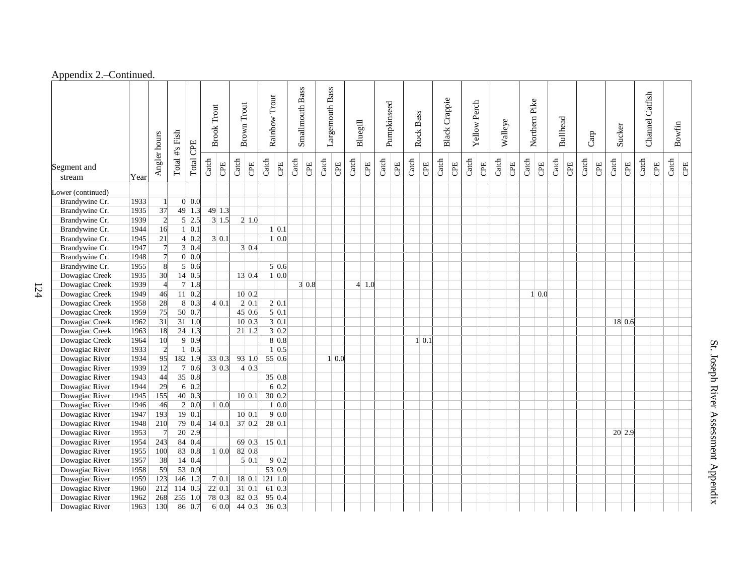|                       |      | Angler hours             | Total #'s Fish | Total CPE            | <b>Brook Trout</b> |                     | Brown Trout |              | Rainbow Trout      | <b>Smallmouth Bass</b> |       | Largemouth Bass |                               | Bluegill  |                        | Pumpkinseed |       | Rock Bass     |       | <b>Black Crappie</b> | Yellow Perch |     | Walleye |     | Northern Pike |              | Bullhead |     | ${\rm Cap}$ |     | Sucker |        | Channel Catfish        |                | Bowfin                 |     |
|-----------------------|------|--------------------------|----------------|----------------------|--------------------|---------------------|-------------|--------------|--------------------|------------------------|-------|-----------------|-------------------------------|-----------|------------------------|-------------|-------|---------------|-------|----------------------|--------------|-----|---------|-----|---------------|--------------|----------|-----|-------------|-----|--------|--------|------------------------|----------------|------------------------|-----|
|                       |      |                          |                |                      |                    |                     |             |              |                    |                        |       |                 |                               |           |                        |             |       |               |       |                      |              |     |         |     |               |              |          |     |             |     |        |        |                        |                |                        |     |
| Segment and<br>stream | Year |                          |                |                      | Catch              | $_{\rm{CPE}}$       | Catch       | Catch<br>CPE | CPE                | Catch                  | CPE   | Catch           | $\operatorname{Catch}$<br>CPE | CPE       | $\operatorname{Catch}$ | CPE         | Catch | CPE           | Catch | CPE                  | Catch        | CPE | Catch   | CPE | Catch         | CPE          | Catch    | CPE | Catch       | CPE | Catch  | CPE    | $\operatorname{Catch}$ | $\mathsf{CPE}$ | $\operatorname{Catch}$ | CPE |
|                       |      |                          |                |                      |                    |                     |             |              |                    |                        |       |                 |                               |           |                        |             |       |               |       |                      |              |     |         |     |               |              |          |     |             |     |        |        |                        |                |                        |     |
| ower (continued)      |      |                          |                |                      |                    |                     |             |              |                    |                        |       |                 |                               |           |                        |             |       |               |       |                      |              |     |         |     |               |              |          |     |             |     |        |        |                        |                |                        |     |
| Brandywine Cr.        | 1933 | $\vert$                  |                | $0\quad 0.0$         |                    |                     |             |              |                    |                        |       |                 |                               |           |                        |             |       |               |       |                      |              |     |         |     |               |              |          |     |             |     |        |        |                        |                |                        |     |
| Brandywine Cr.        | 1935 | $\overline{37}$          |                | 49 1.3               |                    | $49 \overline{1.3}$ |             |              |                    |                        |       |                 |                               |           |                        |             |       |               |       |                      |              |     |         |     |               |              |          |     |             |     |        |        |                        |                |                        |     |
| Brandywine Cr.        | 1939 | $\overline{2}$           | 5 <sup>1</sup> | 2.5                  |                    | $3 \mid 1.5$        |             | 2 1.0        |                    |                        |       |                 |                               |           |                        |             |       |               |       |                      |              |     |         |     |               |              |          |     |             |     |        |        |                        |                |                        |     |
| Brandywine Cr.        | 1944 | 16                       |                | 0.1                  |                    |                     |             |              | $1 \vert 0.1$      |                        |       |                 |                               |           |                        |             |       |               |       |                      |              |     |         |     |               |              |          |     |             |     |        |        |                        |                |                        |     |
| Brandywine Cr.        | 1945 | $\overline{21}$          | $\overline{4}$ | 0.2                  |                    | 3 0.1               |             |              | $1\vert 0.0$       |                        |       |                 |                               |           |                        |             |       |               |       |                      |              |     |         |     |               |              |          |     |             |     |        |        |                        |                |                        |     |
| Brandywine Cr.        | 1947 | 7 <sup>1</sup>           | $\overline{3}$ | 0.4                  |                    |                     |             | 3 0.4        |                    |                        |       |                 |                               |           |                        |             |       |               |       |                      |              |     |         |     |               |              |          |     |             |     |        |        |                        |                |                        |     |
| Brandywine Cr.        | 1948 | $\overline{\mathcal{U}}$ |                | $0\,0.0$             |                    |                     |             |              |                    |                        |       |                 |                               |           |                        |             |       |               |       |                      |              |     |         |     |               |              |          |     |             |     |        |        |                        |                |                        |     |
| Brandywine Cr.        | 1955 | 8 <sup>1</sup>           | 5 <sup>1</sup> | 0.6                  |                    |                     |             |              | $5\,0.6$           |                        |       |                 |                               |           |                        |             |       |               |       |                      |              |     |         |     |               |              |          |     |             |     |        |        |                        |                |                        |     |
| Dowagiac Creek        | 1935 | $\overline{30}$          |                | $14 \ 0.5$           |                    |                     | 13 0.4      |              | $1\vert 0.0$       |                        |       |                 |                               |           |                        |             |       |               |       |                      |              |     |         |     |               |              |          |     |             |     |        |        |                        |                |                        |     |
| Dowagiac Creek        | 1939 | $\overline{4}$           | $\tau$         | 1.8                  |                    |                     |             |              |                    |                        | 3 0.8 |                 |                               | $4 \ 1.0$ |                        |             |       |               |       |                      |              |     |         |     |               |              |          |     |             |     |        |        |                        |                |                        |     |
| Dowagiac Creek        | 1949 | 46                       |                | $11 \, 0.2$          |                    |                     | 10 0.2      |              |                    |                        |       |                 |                               |           |                        |             |       |               |       |                      |              |     |         |     |               | $1\vert 0.0$ |          |     |             |     |        |        |                        |                |                        |     |
| Dowagiac Creek        | 1958 | $\overline{28}$          | 8              | 0.3                  |                    | 4 0.1               | 2 0.1       |              | 2 0.1              |                        |       |                 |                               |           |                        |             |       |               |       |                      |              |     |         |     |               |              |          |     |             |     |        |        |                        |                |                        |     |
| Dowagiac Creek        | 1959 | 75                       |                | $50\ 0.7$            |                    |                     | 45 0.6      |              | $5\overline{)0.1}$ |                        |       |                 |                               |           |                        |             |       |               |       |                      |              |     |         |     |               |              |          |     |             |     |        |        |                        |                |                        |     |
| Dowagiac Creek        | 1962 | $\overline{31}$          |                | $31 \ 1.0$           |                    |                     | 10 0.3      |              | 3 0.1              |                        |       |                 |                               |           |                        |             |       |               |       |                      |              |     |         |     |               |              |          |     |             |     |        | 18 0.6 |                        |                |                        |     |
| Dowagiac Creek        | 1963 | $\overline{18}$          |                | $24 \overline{)1.3}$ |                    |                     | $21 \ 1.2$  |              | 3 0.2              |                        |       |                 |                               |           |                        |             |       |               |       |                      |              |     |         |     |               |              |          |     |             |     |        |        |                        |                |                        |     |
| Dowagiac Creek        | 1964 | 10                       |                | 90.9                 |                    |                     |             |              | $8\overline{)0.8}$ |                        |       |                 |                               |           |                        |             |       | $1 \vert 0.1$ |       |                      |              |     |         |     |               |              |          |     |             |     |        |        |                        |                |                        |     |
| Dowagiac River        | 1933 | $\overline{2}$           |                | 0.5                  |                    |                     |             |              | $1 \ 0.5$          |                        |       |                 |                               |           |                        |             |       |               |       |                      |              |     |         |     |               |              |          |     |             |     |        |        |                        |                |                        |     |
| Dowagiac River        | 1934 | 95                       |                | 182 1.9              |                    | 33 0.3              | 93 1.0      |              | 55 0.6             |                        |       | $1\,0.0$        |                               |           |                        |             |       |               |       |                      |              |     |         |     |               |              |          |     |             |     |        |        |                        |                |                        |     |
| Dowagiac River        | 1939 | 12                       | $\tau$         | 0.6                  |                    | 3 0.3               | 4 0.3       |              |                    |                        |       |                 |                               |           |                        |             |       |               |       |                      |              |     |         |     |               |              |          |     |             |     |        |        |                        |                |                        |     |
| Dowagiac River        | 1943 | 44                       |                | 35 0.8               |                    |                     |             |              | 35 0.8             |                        |       |                 |                               |           |                        |             |       |               |       |                      |              |     |         |     |               |              |          |     |             |     |        |        |                        |                |                        |     |
| Dowagiac River        | 1944 | $\overline{29}$          |                | $6 \ 0.2$            |                    |                     |             |              | $6\,0.2$           |                        |       |                 |                               |           |                        |             |       |               |       |                      |              |     |         |     |               |              |          |     |             |     |        |        |                        |                |                        |     |
| Dowagiac River        | 1945 | $\overline{155}$         |                | $40\,$ 0.3           |                    |                     | 10 0.1      |              | $30\ 0.2$          |                        |       |                 |                               |           |                        |             |       |               |       |                      |              |     |         |     |               |              |          |     |             |     |        |        |                        |                |                        |     |
| Dowagiac River        | 1946 | 46                       |                | $2\vert 0.0$         |                    | $1\vert 0.0$        |             |              | $1\vert 0.0$       |                        |       |                 |                               |           |                        |             |       |               |       |                      |              |     |         |     |               |              |          |     |             |     |        |        |                        |                |                        |     |
| Dowagiac River        | 1947 | 193                      |                | $19 \ 0.1$           |                    |                     | $10\ 0.1$   |              | 90.0               |                        |       |                 |                               |           |                        |             |       |               |       |                      |              |     |         |     |               |              |          |     |             |     |        |        |                        |                |                        |     |
| Dowagiac River        | 1948 | 210                      |                | 790.4                |                    | 14 0.1              | 37 0.2      |              | 28 0.1             |                        |       |                 |                               |           |                        |             |       |               |       |                      |              |     |         |     |               |              |          |     |             |     |        |        |                        |                |                        |     |
| Dowagiac River        | 1953 | 7 <sup>1</sup>           |                | $20\ 2.9$            |                    |                     |             |              |                    |                        |       |                 |                               |           |                        |             |       |               |       |                      |              |     |         |     |               |              |          |     |             |     |        | 20 2.9 |                        |                |                        |     |
| Dowagiac River        | 1954 | 243                      |                | $84 \ 0.4$           |                    |                     | 69 0.3      |              | 15 0.1             |                        |       |                 |                               |           |                        |             |       |               |       |                      |              |     |         |     |               |              |          |     |             |     |        |        |                        |                |                        |     |
| Dowagiac River        | 1955 | 100                      |                | 83 0.8               |                    | $1\vert 0.0$        | 82 0.8      |              |                    |                        |       |                 |                               |           |                        |             |       |               |       |                      |              |     |         |     |               |              |          |     |             |     |        |        |                        |                |                        |     |
| Dowagiac River        | 1957 | 38                       |                | $14 \ 0.4$           |                    |                     |             | $5\vert 0.1$ | 90.2               |                        |       |                 |                               |           |                        |             |       |               |       |                      |              |     |         |     |               |              |          |     |             |     |        |        |                        |                |                        |     |
| Dowagiac River        | 1958 | $\overline{59}$          |                | $53$ 0.9             |                    |                     |             |              | 53 0.9             |                        |       |                 |                               |           |                        |             |       |               |       |                      |              |     |         |     |               |              |          |     |             |     |        |        |                        |                |                        |     |
| Dowagiac River        | 1959 | 123                      |                | 146 1.2              |                    | $7\vert 0.1$        | 18 0.1      |              | $121$ 1.0          |                        |       |                 |                               |           |                        |             |       |               |       |                      |              |     |         |     |               |              |          |     |             |     |        |        |                        |                |                        |     |
| Dowagiac River        | 1960 | 212                      |                | $114 \, 0.5$         |                    | 22 0.1              | 31 0.1      |              | $61$ 0.3           |                        |       |                 |                               |           |                        |             |       |               |       |                      |              |     |         |     |               |              |          |     |             |     |        |        |                        |                |                        |     |
| Dowagiac River        | 1962 | 268                      | 255            | 1.0                  |                    | 78 0.3              | 82 0.3      |              | 95 0.4             |                        |       |                 |                               |           |                        |             |       |               |       |                      |              |     |         |     |               |              |          |     |             |     |        |        |                        |                |                        |     |
| Dowagiac River        | 1963 | 130                      |                | 86 0.7               |                    | $6\,0.0$            | 44 0.3      |              | 36 0.3             |                        |       |                 |                               |           |                        |             |       |               |       |                      |              |     |         |     |               |              |          |     |             |     |        |        |                        |                |                        |     |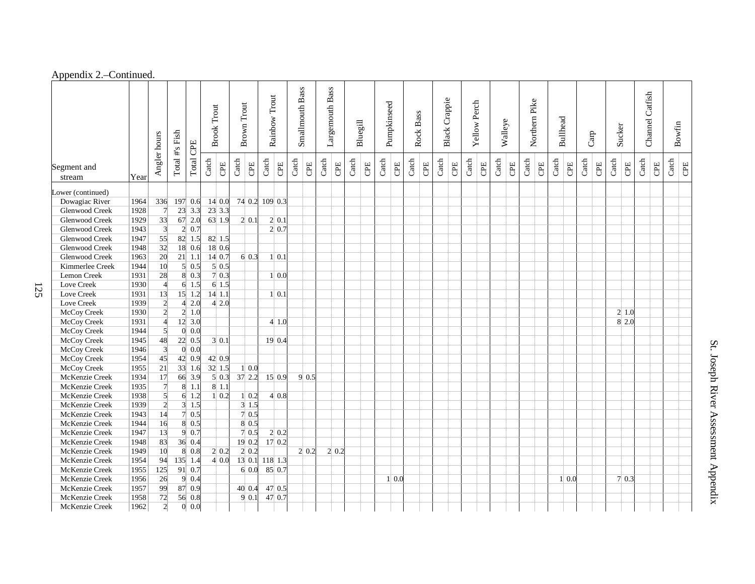|                       |      |                         |                |                              | <b>Brook Trout</b> |                     | <b>Brown Trout</b>     |              | Rainbow Trout | <b>Smallmouth Bass</b> |           | Largemouth Bass |     | Bluegill     | Pumpkinseed            |            | Rock Bass |     | <b>Black Crappie</b> |     | Yellow Perch |     | Walleye |     | Northern Pike |     | Bullhead |              | Carp  |                | Sucker |                | Catfish<br>Channel |     | Bowfin                 |                |
|-----------------------|------|-------------------------|----------------|------------------------------|--------------------|---------------------|------------------------|--------------|---------------|------------------------|-----------|-----------------|-----|--------------|------------------------|------------|-----------|-----|----------------------|-----|--------------|-----|---------|-----|---------------|-----|----------|--------------|-------|----------------|--------|----------------|--------------------|-----|------------------------|----------------|
|                       |      |                         |                |                              |                    |                     |                        |              |               |                        |           |                 |     |              |                        |            |           |     |                      |     |              |     |         |     |               |     |          |              |       |                |        |                |                    |     |                        |                |
| Segment and<br>stream | Year | Angler hours            | Total #'s Fish | Total CPE                    | Catch              | CPE                 | $\operatorname{Catch}$ | CPE          | Catch<br>CPE  | Catch                  | CPE       | Catch           | CPE | Catch<br>CPE | $\operatorname{Catch}$ | CPE        | Catch     | CPE | Catch                | CPE | Catch        | CPE | Catch   | CPE | Catch         | CPE | Catch    | CPE          | Catch | $\mathsf{CPE}$ | Catch  | $\mathsf{CPE}$ | Catch              | CPE | $\operatorname{Catch}$ | $\mathsf{CPE}$ |
| Lower (continued)     |      |                         |                |                              |                    |                     |                        |              |               |                        |           |                 |     |              |                        |            |           |     |                      |     |              |     |         |     |               |     |          |              |       |                |        |                |                    |     |                        |                |
| Dowagiac River        | 1964 | 336                     |                | $197 \, 0.6$                 |                    | 14 0.0              |                        | 74 0.2       | $109 \ 0.3$   |                        |           |                 |     |              |                        |            |           |     |                      |     |              |     |         |     |               |     |          |              |       |                |        |                |                    |     |                        |                |
| Glenwood Creek        | 1928 | 7                       |                | $23 \overline{\smash{)}3.3}$ |                    | $\overline{23}$ 3.3 |                        |              |               |                        |           |                 |     |              |                        |            |           |     |                      |     |              |     |         |     |               |     |          |              |       |                |        |                |                    |     |                        |                |
| Glenwood Creek        | 1929 | $\overline{33}$         |                | $67 \, 2.0$                  |                    | 63 1.9              |                        | 2 0.1        | 2 0.1         |                        |           |                 |     |              |                        |            |           |     |                      |     |              |     |         |     |               |     |          |              |       |                |        |                |                    |     |                        |                |
| <b>Glenwood Creek</b> | 1943 | $\overline{\mathbf{3}}$ | $\overline{2}$ | 0.7                          |                    |                     |                        |              | 2 0.7         |                        |           |                 |     |              |                        |            |           |     |                      |     |              |     |         |     |               |     |          |              |       |                |        |                |                    |     |                        |                |
| <b>Glenwood Creek</b> | 1947 | 55                      | 82             | 1.5                          |                    | $82 \mid 1.5$       |                        |              |               |                        |           |                 |     |              |                        |            |           |     |                      |     |              |     |         |     |               |     |          |              |       |                |        |                |                    |     |                        |                |
| Glenwood Creek        | 1948 | 32                      |                | 18 0.6                       |                    | 18 0.6              |                        |              |               |                        |           |                 |     |              |                        |            |           |     |                      |     |              |     |         |     |               |     |          |              |       |                |        |                |                    |     |                        |                |
| <b>Glenwood Creek</b> | 1963 | $\overline{20}$         |                | 21 1.1                       |                    | 14 0.7              |                        | 6 0.3        | $1\vert 0.1$  |                        |           |                 |     |              |                        |            |           |     |                      |     |              |     |         |     |               |     |          |              |       |                |        |                |                    |     |                        |                |
| Kimmerlee Creek       | 1944 | $\overline{10}$         |                | $5\vert 0.5$                 |                    | 5 0.5               |                        |              |               |                        |           |                 |     |              |                        |            |           |     |                      |     |              |     |         |     |               |     |          |              |       |                |        |                |                    |     |                        |                |
| Lemon Creek           | 1931 | 28                      | 8 <sup>l</sup> | 0.3                          |                    | 7 0.3               |                        |              | $1\vert 0.0$  |                        |           |                 |     |              |                        |            |           |     |                      |     |              |     |         |     |               |     |          |              |       |                |        |                |                    |     |                        |                |
| Love Creek            | 1930 | $\overline{4}$          | 6              | 1.5                          |                    | $6\;1.5$            |                        |              |               |                        |           |                 |     |              |                        |            |           |     |                      |     |              |     |         |     |               |     |          |              |       |                |        |                |                    |     |                        |                |
| Love Creek            | 1931 | 13                      |                | $15 \mid 1.2$                |                    | $14$ 1.1            |                        |              | $1 \vert 0.1$ |                        |           |                 |     |              |                        |            |           |     |                      |     |              |     |         |     |               |     |          |              |       |                |        |                |                    |     |                        |                |
| Love Creek            | 1939 | $\overline{2}$          | $\overline{4}$ | 2.0                          |                    | $4 \overline{2.0}$  |                        |              |               |                        |           |                 |     |              |                        |            |           |     |                      |     |              |     |         |     |               |     |          |              |       |                |        |                |                    |     |                        |                |
| McCoy Creek           | 1930 | $\overline{2}$          | $\overline{2}$ | 1.0                          |                    |                     |                        |              |               |                        |           |                 |     |              |                        |            |           |     |                      |     |              |     |         |     |               |     |          |              |       |                |        | $2 \, 1.0$     |                    |     |                        |                |
| <b>McCoy Creek</b>    | 1931 | $\overline{4}$          |                | $12 \overline{\smash{)}3.0}$ |                    |                     |                        |              | 41.0          |                        |           |                 |     |              |                        |            |           |     |                      |     |              |     |         |     |               |     |          |              |       |                |        | 8 2.0          |                    |     |                        |                |
| McCoy Creek           | 1944 | $\mathfrak{g}$          | $\Omega$       | 0.0                          |                    |                     |                        |              |               |                        |           |                 |     |              |                        |            |           |     |                      |     |              |     |         |     |               |     |          |              |       |                |        |                |                    |     |                        |                |
| McCoy Creek           | 1945 | 48                      |                | $22 \mid 0.5$                |                    | 3 0.1               |                        |              | 19 0.4        |                        |           |                 |     |              |                        |            |           |     |                      |     |              |     |         |     |               |     |          |              |       |                |        |                |                    |     |                        |                |
| <b>McCoy Creek</b>    | 1946 | $\overline{\mathbf{3}}$ |                | $0\ 0.0$                     |                    |                     |                        |              |               |                        |           |                 |     |              |                        |            |           |     |                      |     |              |     |         |     |               |     |          |              |       |                |        |                |                    |     |                        |                |
| McCoy Creek           | 1954 | 45                      | 42             | 0.9                          |                    | 42 0.9              |                        |              |               |                        |           |                 |     |              |                        |            |           |     |                      |     |              |     |         |     |               |     |          |              |       |                |        |                |                    |     |                        |                |
| McCoy Creek           | 1955 | 21                      |                | $33 \mid 1.6$                |                    | 32 1.5              |                        | $1\vert 0.0$ |               |                        |           |                 |     |              |                        |            |           |     |                      |     |              |     |         |     |               |     |          |              |       |                |        |                |                    |     |                        |                |
| McKenzie Creek        | 1934 | 17                      |                | 66 3.9                       |                    | $5\vert 0.3$        |                        | $37$ 2.2     | 15 0.9        |                        | $9 \ 0.5$ |                 |     |              |                        |            |           |     |                      |     |              |     |         |     |               |     |          |              |       |                |        |                |                    |     |                        |                |
| McKenzie Creek        | 1935 | 7                       | 8              | 1.1                          |                    | $8 \; 1.1$          |                        |              |               |                        |           |                 |     |              |                        |            |           |     |                      |     |              |     |         |     |               |     |          |              |       |                |        |                |                    |     |                        |                |
| McKenzie Creek        | 1938 | $\mathbf{5}$            |                | $6 \; 1.2$                   |                    | $1\,0.2$            |                        | $1\,0.2$     | $4\,0.8$      |                        |           |                 |     |              |                        |            |           |     |                      |     |              |     |         |     |               |     |          |              |       |                |        |                |                    |     |                        |                |
| McKenzie Creek        | 1939 | $\overline{2}$          | $\overline{3}$ | 1.5                          |                    |                     |                        | $3 \mid 1.5$ |               |                        |           |                 |     |              |                        |            |           |     |                      |     |              |     |         |     |               |     |          |              |       |                |        |                |                    |     |                        |                |
| McKenzie Creek        | 1943 | 14                      |                | $7 \ 0.5$                    |                    |                     |                        | 7 0.5        |               |                        |           |                 |     |              |                        |            |           |     |                      |     |              |     |         |     |               |     |          |              |       |                |        |                |                    |     |                        |                |
| McKenzie Creek        | 1944 | 16                      | 8              | 0.5                          |                    |                     |                        | $8\,0.5$     |               |                        |           |                 |     |              |                        |            |           |     |                      |     |              |     |         |     |               |     |          |              |       |                |        |                |                    |     |                        |                |
| McKenzie Creek        | 1947 | $\overline{13}$         |                | $9 \ 0.7$                    |                    |                     |                        | $7\vert 0.5$ | 2 0.2         |                        |           |                 |     |              |                        |            |           |     |                      |     |              |     |         |     |               |     |          |              |       |                |        |                |                    |     |                        |                |
| McKenzie Creek        | 1948 | 83                      |                | $36 \ 0.4$                   |                    |                     |                        | 19 0.2       | 17 0.2        |                        |           |                 |     |              |                        |            |           |     |                      |     |              |     |         |     |               |     |          |              |       |                |        |                |                    |     |                        |                |
| McKenzie Creek        | 1949 | 10                      | 8              | 0.8                          |                    | 2 0.2               |                        | 2 0.2        |               |                        | 2 0.2     | 2 0.2           |     |              |                        |            |           |     |                      |     |              |     |         |     |               |     |          |              |       |                |        |                |                    |     |                        |                |
| McKenzie Creek        | 1954 | 94                      |                | $135$ 1.4                    |                    | 4 0.0               |                        | 13 0.1       | 118 1.3       |                        |           |                 |     |              |                        |            |           |     |                      |     |              |     |         |     |               |     |          |              |       |                |        |                |                    |     |                        |                |
| McKenzie Creek        | 1955 | 125                     |                | 91 0.7                       |                    |                     |                        | 6 0.0        | 85 0.7        |                        |           |                 |     |              |                        |            |           |     |                      |     |              |     |         |     |               |     |          |              |       |                |        |                |                    |     |                        |                |
| McKenzie Creek        | 1956 | $\overline{26}$         |                | 90.4                         |                    |                     |                        |              |               |                        |           |                 |     |              |                        | $1 \, 0.0$ |           |     |                      |     |              |     |         |     |               |     |          | $1\vert 0.0$ |       |                |        | 7 0.3          |                    |     |                        |                |
| McKenzie Creek        | 1957 | $\overline{99}$         | 87             | 0.9                          |                    |                     |                        | 40 0.4       | 47 0.5        |                        |           |                 |     |              |                        |            |           |     |                      |     |              |     |         |     |               |     |          |              |       |                |        |                |                    |     |                        |                |
| McKenzie Creek        | 1958 | 72                      |                | 560.8                        |                    |                     |                        | 90.1         | 47 0.7        |                        |           |                 |     |              |                        |            |           |     |                      |     |              |     |         |     |               |     |          |              |       |                |        |                |                    |     |                        |                |
| McKenzie Creek        | 1962 | $\overline{2}$          | $\overline{0}$ | 0.0                          |                    |                     |                        |              |               |                        |           |                 |     |              |                        |            |           |     |                      |     |              |     |         |     |               |     |          |              |       |                |        |                |                    |     |                        |                |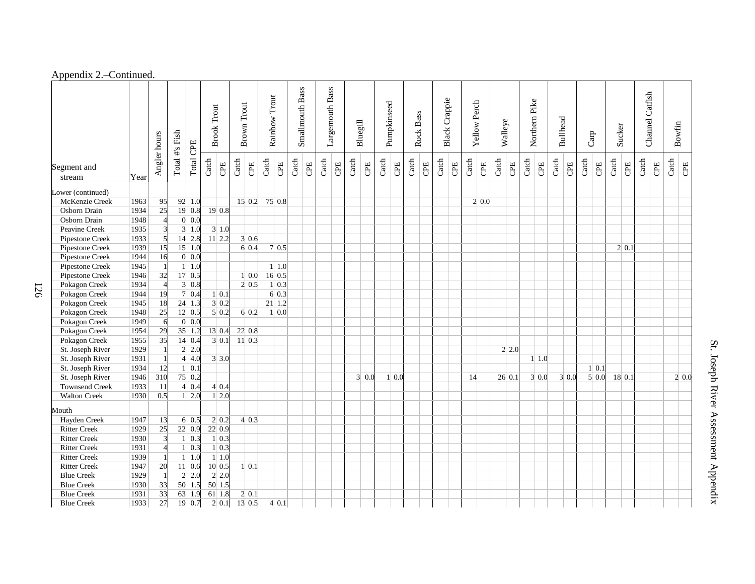|                                                                                                                                                                                                                                                                                                                                                                                                                                  |                                                                                                                                                                      |                                                                                                                                                                                                                                                                                                                    |                                                                                                                   |                                                                                                                                                                                                                                                                    | <b>Brook Trout</b> |                                                                                                                         | Brown Trout                                                                       |       | Rainbow Trout                                                                                                    | <b>Smallmouth Bass</b> |     | Largemouth Bass        |     | Bluegill     |     | Pumpkinseed |              | Rock Bass |     | <b>Black Crappie</b>   |     | Yellow Perch |              | Walleye |           | Northern Pike          |     | Bullhead |     | ${\rm Cap}$ |                                    | Sucker |                 | Channel Catfish        |                | Bowfin                 |                |
|----------------------------------------------------------------------------------------------------------------------------------------------------------------------------------------------------------------------------------------------------------------------------------------------------------------------------------------------------------------------------------------------------------------------------------|----------------------------------------------------------------------------------------------------------------------------------------------------------------------|--------------------------------------------------------------------------------------------------------------------------------------------------------------------------------------------------------------------------------------------------------------------------------------------------------------------|-------------------------------------------------------------------------------------------------------------------|--------------------------------------------------------------------------------------------------------------------------------------------------------------------------------------------------------------------------------------------------------------------|--------------------|-------------------------------------------------------------------------------------------------------------------------|-----------------------------------------------------------------------------------|-------|------------------------------------------------------------------------------------------------------------------|------------------------|-----|------------------------|-----|--------------|-----|-------------|--------------|-----------|-----|------------------------|-----|--------------|--------------|---------|-----------|------------------------|-----|----------|-----|-------------|------------------------------------|--------|-----------------|------------------------|----------------|------------------------|----------------|
| Segment and<br>stream                                                                                                                                                                                                                                                                                                                                                                                                            | Year                                                                                                                                                                 | Angler hours                                                                                                                                                                                                                                                                                                       | Total #'s Fish                                                                                                    | Total CPE                                                                                                                                                                                                                                                          | Catch              | CPE                                                                                                                     | $\operatorname{Catch}$<br>CPE                                                     | Catch | CPE                                                                                                              | Catch                  | CPE | $\operatorname{Catch}$ | CPE | Catch        | CPE | Catch       | CPE          | Catch     | CPE | $\operatorname{Catch}$ | CPE | Catch        | CPE          | Catch   | CPE       | Catch                  | CPE | Catch    | CPE | Catch       | CPE                                | Catch  | CPE             | $\operatorname{Catch}$ | $\mathsf{CPE}$ | $\operatorname{Catch}$ | $\mathsf{CPE}$ |
| ower (continued)<br>McKenzie Creek<br>Osborn Drain<br>Osborn Drain<br>Peavine Creek<br>Pipestone Creek<br>Pipestone Creek<br>Pipestone Creek<br>Pipestone Creek<br>Pipestone Creek<br>Pokagon Creek<br>Pokagon Creek<br><b>Pokagon Creek</b><br>Pokagon Creek<br>Pokagon Creek<br>Pokagon Creek<br><b>Pokagon Creek</b><br>St. Joseph River<br>St. Joseph River<br>St. Joseph River<br>St. Joseph River<br><b>Townsend Creek</b> | 1963<br>1934<br>1948<br>1935<br>1933<br>1939<br>1944<br>1945<br>1946<br>1934<br>1944<br>1945<br>1948<br>1949<br>1954<br>1955<br>1929<br>1931<br>1934<br>1946<br>1933 | 95<br>$\overline{25}$<br>$\overline{4}$<br>$\overline{3}$<br>$\mathbf{5}$<br>$\overline{15}$<br>16<br>$\vert$<br>$\overline{32}$<br>$\overline{4}$<br>$\overline{19}$<br>$\overline{18}$<br>$\overline{25}$<br>6<br>$\overline{29}$<br>$\overline{35}$<br>$1\vert$<br>$\mathbf{1}$<br>$\overline{12}$<br>310<br>11 | 3 <sup>l</sup><br>1 <sup>1</sup><br>$\overline{3}$<br>$\overline{\tau}$<br>$\overline{4}$<br>11<br>$\overline{4}$ | $92 \mid 1.0$<br>190.8<br>$\boxed{0}$ 0.0<br>1.0<br>$14 \ 2.8$<br>15 1.0<br>$\boxed{0}$ 0.0<br>1.0<br>$17 \ 0.5$<br>0.8<br>0.4<br>$24 \overline{)1.3}$<br>$12 \mid 0.5$<br>$0\,0.0$<br>$35 \mid 1.2$<br>$14 \ 0.4$<br>$2 \ 2.0$<br>4.0<br>0.1<br>$75 \ 0.2$<br>0.4 |                    | 19 0.8<br>3 1.0<br>$11$   2.2<br>$1\vert 0.1$<br>30.2<br>5 0.2<br>13 0.4<br>3 0.1<br>$3 \overline{\smash)3.0}$<br>4 0.4 | 15 0.2<br>3 0.6<br>6 0.4<br>$1\vert 0.0$<br>2 0.5<br>$6\,0.2$<br>22 0.8<br>11 0.3 |       | 750.8<br>7 0.5<br>$1\vert 1.0$<br>16 0.5<br>$1\overline{0.3}$<br>$6\,0.3$<br>$\overline{21}$ 1.2<br>$1\vert 0.0$ |                        |     |                        |     | $3\vert 0.0$ |     |             | $1\vert 0.0$ |           |     |                        |     | 14           | $2\vert 0.0$ | 260.1   | $2 \ 2.0$ | $1 \vert 1.0$<br>3 0.0 |     | 3 0.0    |     |             | $1\vert 0.1$<br>$\overline{5 0.0}$ |        | 2 0.1<br>18 0.1 |                        |                |                        | $2\vert 0.0$   |
| Walton Creek<br>Mouth<br>Hayden Creek<br><b>Ritter Creek</b><br><b>Ritter Creek</b><br><b>Ritter Creek</b><br><b>Ritter Creek</b><br><b>Ritter Creek</b><br><b>Blue Creek</b><br><b>Blue Creek</b><br><b>Blue Creek</b><br><b>Blue Creek</b>                                                                                                                                                                                     | 1930<br>1947<br>1929<br>1930<br>1931<br>1939<br>1947<br>1929<br>1930<br>1931<br>1933                                                                                 | 0.5<br>13<br>$\overline{25}$<br>$\overline{3}$<br>$\vert$<br>1<br>$\overline{20}$<br>$\vert$ 1<br>$\overline{33}$<br>$\overline{33}$<br>27                                                                                                                                                                         | 11.<br>11.<br>63                                                                                                  | 2.0<br>$6\,0.5$<br>$22 \ 0.9$<br>0.3<br>0.3<br>1.0<br>11 0.6<br>$\overline{2}$ 2.0<br>$50 \ 1.5$<br>1.9<br>19 0.7                                                                                                                                                  | 22 0.9<br>50 1.5   | $1 \ 2.0$<br>2 0.2<br>$1 \ 0.3$<br>$1\vert 0.3$<br>$1\vert 1.0$<br>10 0.5<br>$2\overline{)2.0}$<br>$61$   1.8<br>2 0.1  | 4 0.3<br>$1 \vert 0.1$<br>2 0.1<br>13 0.5                                         |       | 4 0.1                                                                                                            |                        |     |                        |     |              |     |             |              |           |     |                        |     |              |              |         |           |                        |     |          |     |             |                                    |        |                 |                        |                |                        |                |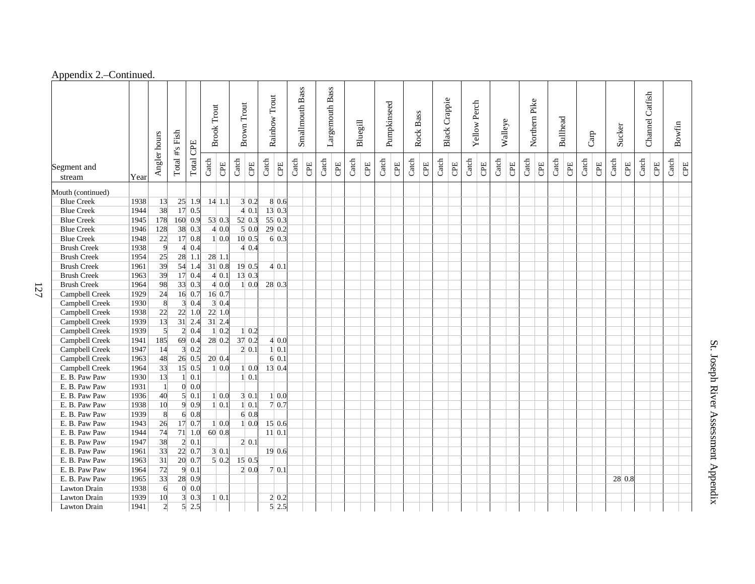|                                        |              | Angler hours    | $\mathrm{Total}$ #'s Fish |                             | <b>Brook Trout</b> |                   | <b>Brown Trout</b> |                    | Rainbow Trout       | <b>Smallmouth Bass</b> |                        | Largemouth Bass |                        | Bluegill | Pumpkinseed |     | Rock Bass |     | <b>Black Crappie</b> |     | Yellow Perch |              | Walleye | Northern Pike |                | Bullhead |     | ${\rm Cap}$ |     | Sucker |                | Catfish<br>Channel |     | Bowfin                 |                |
|----------------------------------------|--------------|-----------------|---------------------------|-----------------------------|--------------------|-------------------|--------------------|--------------------|---------------------|------------------------|------------------------|-----------------|------------------------|----------|-------------|-----|-----------|-----|----------------------|-----|--------------|--------------|---------|---------------|----------------|----------|-----|-------------|-----|--------|----------------|--------------------|-----|------------------------|----------------|
| Segment and<br>stream                  | Year         |                 |                           | Total CPE                   | Catch              | $\mathsf{CPE}$    | Catch              | CPE                | Catch<br>CPE        | Catch<br>CPE           | $\operatorname{Catch}$ | CPE             | $\operatorname{Catch}$ | CPE      | Catch       | CPE | Catch     | CPE | Catch                | CPE | Catch        | Catch<br>CPE | CPE     | Catch         | $\mathsf{CPE}$ | Catch    | CPE | Catch       | CPE | Catch  | $\mathsf{CPE}$ | Catch              | CPE | $\operatorname{Catch}$ | $\mathsf{CPE}$ |
| Mouth (continued)                      |              |                 |                           |                             |                    |                   |                    |                    |                     |                        |                        |                 |                        |          |             |     |           |     |                      |     |              |              |         |               |                |          |     |             |     |        |                |                    |     |                        |                |
| <b>Blue Creek</b>                      | 1938         | 13              |                           | 25 1.9                      |                    | 14 1.1            |                    | 3 0.2              | $8\,0.6$            |                        |                        |                 |                        |          |             |     |           |     |                      |     |              |              |         |               |                |          |     |             |     |        |                |                    |     |                        |                |
| <b>Blue Creek</b>                      | 1944         | $\overline{38}$ |                           | 170.5                       |                    |                   |                    | 4 0.1              | 13 0.3              |                        |                        |                 |                        |          |             |     |           |     |                      |     |              |              |         |               |                |          |     |             |     |        |                |                    |     |                        |                |
| <b>Blue Creek</b><br><b>Blue Creek</b> | 1945<br>1946 | 178<br>128      |                           | $160$ 0.9<br>$38$ 0.3       |                    | 53 0.3<br>4 0.0   | 52 0.3             | 50C                | 550.3<br>290.2      |                        |                        |                 |                        |          |             |     |           |     |                      |     |              |              |         |               |                |          |     |             |     |        |                |                    |     |                        |                |
| <b>Blue Creek</b>                      | 1948         | $\overline{22}$ |                           | 170.8                       |                    | $1\vert 0.0$      |                    | 10 0.5             | 6 0.3               |                        |                        |                 |                        |          |             |     |           |     |                      |     |              |              |         |               |                |          |     |             |     |        |                |                    |     |                        |                |
| <b>Brush Creek</b>                     | 1938         | 9               |                           | $4 \ 0.4$                   |                    |                   |                    | 4 0.4              |                     |                        |                        |                 |                        |          |             |     |           |     |                      |     |              |              |         |               |                |          |     |             |     |        |                |                    |     |                        |                |
| <b>Brush Creek</b>                     | 1954         | $\overline{25}$ |                           | 28 1.1                      |                    | 28 1.1            |                    |                    |                     |                        |                        |                 |                        |          |             |     |           |     |                      |     |              |              |         |               |                |          |     |             |     |        |                |                    |     |                        |                |
| <b>Brush Creek</b>                     | 1961         | 39              |                           | $54$ 1.4                    |                    | 31 0.8            |                    | 19 0.5             | 4 0.1               |                        |                        |                 |                        |          |             |     |           |     |                      |     |              |              |         |               |                |          |     |             |     |        |                |                    |     |                        |                |
| <b>Brush Creek</b>                     | 1963         | $\overline{39}$ |                           | $17 \ 0.4$                  |                    | 4 0.1             |                    | 13 0.3             |                     |                        |                        |                 |                        |          |             |     |           |     |                      |     |              |              |         |               |                |          |     |             |     |        |                |                    |     |                        |                |
| <b>Brush Creek</b>                     | 1964         | 98              |                           | $33$ 0.3                    |                    | 40.0              |                    | $1\overline{)0.0}$ | 28 0.3              |                        |                        |                 |                        |          |             |     |           |     |                      |     |              |              |         |               |                |          |     |             |     |        |                |                    |     |                        |                |
| Campbell Creek                         | 1929         | $\overline{24}$ |                           | $16 \ 0.7$                  |                    | 16 0.7            |                    |                    |                     |                        |                        |                 |                        |          |             |     |           |     |                      |     |              |              |         |               |                |          |     |             |     |        |                |                    |     |                        |                |
| Campbell Creek                         | 1930         | 8               |                           | $3 \ 0.4$                   |                    | 3 0.4             |                    |                    |                     |                        |                        |                 |                        |          |             |     |           |     |                      |     |              |              |         |               |                |          |     |             |     |        |                |                    |     |                        |                |
| Campbell Creek                         | 1938         | $\overline{22}$ |                           | 22 1.0                      |                    | 22 1.0            |                    |                    |                     |                        |                        |                 |                        |          |             |     |           |     |                      |     |              |              |         |               |                |          |     |             |     |        |                |                    |     |                        |                |
| Campbell Creek                         | 1939         | $\overline{13}$ |                           | $31 \ 2.4$                  |                    | $31 \ 2.4$        |                    |                    |                     |                        |                        |                 |                        |          |             |     |           |     |                      |     |              |              |         |               |                |          |     |             |     |        |                |                    |     |                        |                |
| Campbell Creek                         | 1939         | 5 <sup>1</sup>  |                           | $2 \ 0.4$                   |                    | $1 \vert 0.2$     |                    | $1 \vert 0.2$      |                     |                        |                        |                 |                        |          |             |     |           |     |                      |     |              |              |         |               |                |          |     |             |     |        |                |                    |     |                        |                |
| Campbell Creek                         | 1941         | 185             |                           | 69 0.4                      |                    | 28 0.2            |                    | 37 0.2             | 40.0                |                        |                        |                 |                        |          |             |     |           |     |                      |     |              |              |         |               |                |          |     |             |     |        |                |                    |     |                        |                |
| Campbell Creek                         | 1947         | 14              |                           | 3 0.2                       |                    |                   |                    | 2 0.1              | $1\overline{0.1}$   |                        |                        |                 |                        |          |             |     |           |     |                      |     |              |              |         |               |                |          |     |             |     |        |                |                    |     |                        |                |
| Campbell Creek                         | 1963         | 48              |                           | $26 \ 0.5$                  |                    | 20 0.4            |                    |                    | 60.1                |                        |                        |                 |                        |          |             |     |           |     |                      |     |              |              |         |               |                |          |     |             |     |        |                |                    |     |                        |                |
| Campbell Creek                         | 1964         | 33              |                           | $15 \ 0.5$                  |                    | $1\vert 0.0$      |                    | $1\vert 0.0$       | 13 0.4              |                        |                        |                 |                        |          |             |     |           |     |                      |     |              |              |         |               |                |          |     |             |     |        |                |                    |     |                        |                |
| E. B. Paw Paw                          | 1930         | $\overline{13}$ |                           | 0.1                         |                    |                   |                    | $1 \vert 0.1$      |                     |                        |                        |                 |                        |          |             |     |           |     |                      |     |              |              |         |               |                |          |     |             |     |        |                |                    |     |                        |                |
| E. B. Paw Paw                          | 1931         | $1\vert$        |                           | $0\vert 0.0$                |                    |                   |                    |                    |                     |                        |                        |                 |                        |          |             |     |           |     |                      |     |              |              |         |               |                |          |     |             |     |        |                |                    |     |                        |                |
| E. B. Paw Paw                          | 1936         | 40              |                           | $\overline{5}$ 0.1          |                    | $1\vert 0.0$      |                    | 3 0.1              | $1\overline{0.0}$   |                        |                        |                 |                        |          |             |     |           |     |                      |     |              |              |         |               |                |          |     |             |     |        |                |                    |     |                        |                |
| E. B. Paw Paw                          | 1938         | 10              |                           | 90.9                        |                    | $1 \vert 0.1$     |                    | $1 \vert 0.1$      | 7 0.7               |                        |                        |                 |                        |          |             |     |           |     |                      |     |              |              |         |               |                |          |     |             |     |        |                |                    |     |                        |                |
| E. B. Paw Paw                          | 1939         | 8               |                           | $6\ 0.8$                    |                    |                   |                    | $6\,0.8$           |                     |                        |                        |                 |                        |          |             |     |           |     |                      |     |              |              |         |               |                |          |     |             |     |        |                |                    |     |                        |                |
| E. B. Paw Paw                          | 1943         | $\overline{26}$ |                           | $17 \ 0.7$                  |                    | $1\overline{0.0}$ |                    | $1\vert 0.0$       | 15 0.6              |                        |                        |                 |                        |          |             |     |           |     |                      |     |              |              |         |               |                |          |     |             |     |        |                |                    |     |                        |                |
| E. B. Paw Paw                          | 1944         | $\overline{74}$ |                           | $71$ 1.0                    |                    | $60\,0.8$         |                    |                    | 11 0.1              |                        |                        |                 |                        |          |             |     |           |     |                      |     |              |              |         |               |                |          |     |             |     |        |                |                    |     |                        |                |
| E. B. Paw Paw                          | 1947         | $\overline{38}$ |                           | $2 \mid 0.1$                |                    |                   |                    | 2 0.1              |                     |                        |                        |                 |                        |          |             |     |           |     |                      |     |              |              |         |               |                |          |     |             |     |        |                |                    |     |                        |                |
| E. B. Paw Paw                          | 1961         | 33              |                           | 22 0.7                      |                    | 3 0.1             |                    |                    | 19 0.6              |                        |                        |                 |                        |          |             |     |           |     |                      |     |              |              |         |               |                |          |     |             |     |        |                |                    |     |                        |                |
| E. B. Paw Paw                          | 1963         | $\overline{31}$ |                           | $20 \ 0.7$                  |                    | $5\vert 0.2$      |                    | 15 0.5             |                     |                        |                        |                 |                        |          |             |     |           |     |                      |     |              |              |         |               |                |          |     |             |     |        |                |                    |     |                        |                |
| E. B. Paw Paw                          | 1964         | 72              |                           | $9 \ 0.1$                   |                    |                   |                    | 2 0.0              | $7\vert 0.1$        |                        |                        |                 |                        |          |             |     |           |     |                      |     |              |              |         |               |                |          |     |             |     |        |                |                    |     |                        |                |
| E. B. Paw Paw                          | 1965         | $\overline{33}$ |                           | 280.9                       |                    |                   |                    |                    |                     |                        |                        |                 |                        |          |             |     |           |     |                      |     |              |              |         |               |                |          |     |             |     |        | 28 0.8         |                    |     |                        |                |
| Lawton Drain                           | 1938         | $6 \vert$       |                           | $\overline{0}$ 0.0          |                    |                   |                    |                    |                     |                        |                        |                 |                        |          |             |     |           |     |                      |     |              |              |         |               |                |          |     |             |     |        |                |                    |     |                        |                |
| Lawton Drain                           | 1939         | 10              | $\overline{3}$            | 0.3                         |                    | $1 \vert 0.1$     |                    |                    | 2 0.2               |                        |                        |                 |                        |          |             |     |           |     |                      |     |              |              |         |               |                |          |     |             |     |        |                |                    |     |                        |                |
| Lawton Drain                           | 1941         | $\overline{2}$  |                           | $5 \overline{\smash{)}2.5}$ |                    |                   |                    |                    | $5 \overline{)2.5}$ |                        |                        |                 |                        |          |             |     |           |     |                      |     |              |              |         |               |                |          |     |             |     |        |                |                    |     |                        |                |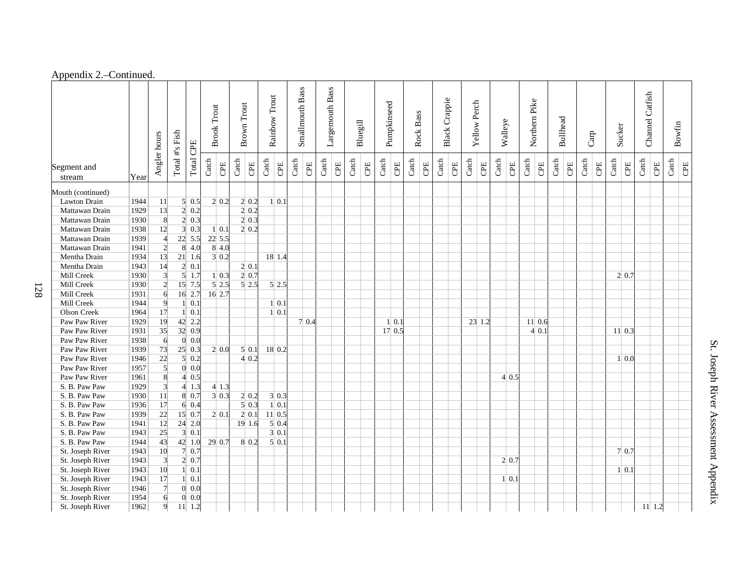|                    |      | Angler hours    | Total #'s Fish | Total CPE            | <b>Brook Trout</b> |                             | <b>Brown Trout</b>     |                             | Rainbow Trout | <b>Smallmouth Bass</b> |       | Largemouth Bass        |                               | Bluegill |                        | Pumpkinseed   | Rock Bass |     | <b>Black Crappie</b> |     | Yellow Perch |     | Walleye |               | Northern Pike |     | Bullhead |     | $\mbox{Cap}$ |     | Sucker |                | Catfish<br>Channel |             | Bowfin                 |                |
|--------------------|------|-----------------|----------------|----------------------|--------------------|-----------------------------|------------------------|-----------------------------|---------------|------------------------|-------|------------------------|-------------------------------|----------|------------------------|---------------|-----------|-----|----------------------|-----|--------------|-----|---------|---------------|---------------|-----|----------|-----|--------------|-----|--------|----------------|--------------------|-------------|------------------------|----------------|
|                    |      |                 |                |                      |                    |                             |                        |                             |               |                        |       |                        |                               |          |                        |               |           |     |                      |     |              |     |         |               |               |     |          |     |              |     |        |                |                    |             |                        |                |
| Segment and        |      |                 |                |                      | Catch              | CPE                         | $\operatorname{Catch}$ | CPE                         | Catch<br>CPE  | Catch                  | CPE   | $\operatorname{Catch}$ | $\operatorname{Catch}$<br>CPE | CPE      | $\operatorname{Catch}$ | CPE           | Catch     | CPE | Catch                | CPE | Catch        | CPE | Catch   | CPE           | Catch         | CPE | Catch    | CPE | Catch        | CPE | Catch  | $\mathsf{CPE}$ | Catch              | CPE         | $\operatorname{Catch}$ | $\mathbf{CPE}$ |
| stream             | Year |                 |                |                      |                    |                             |                        |                             |               |                        |       |                        |                               |          |                        |               |           |     |                      |     |              |     |         |               |               |     |          |     |              |     |        |                |                    |             |                        |                |
| Mouth (continued)  |      |                 |                |                      |                    |                             |                        |                             |               |                        |       |                        |                               |          |                        |               |           |     |                      |     |              |     |         |               |               |     |          |     |              |     |        |                |                    |             |                        |                |
| Lawton Drain       | 1944 | 11              |                | $\overline{5}$ 0.5   |                    | 2 0.2                       |                        | 2 0.2                       | $1\vert 0.1$  |                        |       |                        |                               |          |                        |               |           |     |                      |     |              |     |         |               |               |     |          |     |              |     |        |                |                    |             |                        |                |
| Mattawan Drain     | 1929 | $\overline{13}$ |                | $2 \ 0.2$            |                    |                             |                        | 2 0.2                       |               |                        |       |                        |                               |          |                        |               |           |     |                      |     |              |     |         |               |               |     |          |     |              |     |        |                |                    |             |                        |                |
| Mattawan Drain     | 1930 | $\vert 8 \vert$ |                | $2 \ 0.3$            |                    |                             |                        | 2 0.3                       |               |                        |       |                        |                               |          |                        |               |           |     |                      |     |              |     |         |               |               |     |          |     |              |     |        |                |                    |             |                        |                |
| Mattawan Drain     | 1938 | 12              | $\overline{3}$ | 0.3                  |                    | $1 \vert 0.1$               |                        | 2 0.2                       |               |                        |       |                        |                               |          |                        |               |           |     |                      |     |              |     |         |               |               |     |          |     |              |     |        |                |                    |             |                        |                |
| Mattawan Drain     | 1939 | $\overline{4}$  | 22             | 5.5                  |                    | 22 5.5                      |                        |                             |               |                        |       |                        |                               |          |                        |               |           |     |                      |     |              |     |         |               |               |     |          |     |              |     |        |                |                    |             |                        |                |
| Mattawan Drain     | 1941 | $\overline{2}$  | 8 <sup>1</sup> | 4.0                  |                    | $8 \, 4.0$                  |                        |                             |               |                        |       |                        |                               |          |                        |               |           |     |                      |     |              |     |         |               |               |     |          |     |              |     |        |                |                    |             |                        |                |
| Mentha Drain       | 1934 | 13              | 21             | 1.6                  |                    | 3 0.2                       |                        |                             | 18 1.4        |                        |       |                        |                               |          |                        |               |           |     |                      |     |              |     |         |               |               |     |          |     |              |     |        |                |                    |             |                        |                |
| Mentha Drain       | 1943 | 14              | $\overline{2}$ | 0.1                  |                    |                             |                        | 2 0.1                       |               |                        |       |                        |                               |          |                        |               |           |     |                      |     |              |     |         |               |               |     |          |     |              |     |        |                |                    |             |                        |                |
| Mill Creek         | 1930 | $\overline{3}$  | $\mathsf{S}$   | $\overline{1.7}$     |                    | $1 \vert 0.3$               |                        | 2 0.7                       |               |                        |       |                        |                               |          |                        |               |           |     |                      |     |              |     |         |               |               |     |          |     |              |     |        | 2 0.7          |                    |             |                        |                |
| Mill Creek         | 1930 | $\overline{2}$  |                | $15 \mid 7.5$        |                    | $5 \overline{\smash{)}2.5}$ |                        | $5 \overline{\smash{)}2.5}$ | $5 \ 2.5$     |                        |       |                        |                               |          |                        |               |           |     |                      |     |              |     |         |               |               |     |          |     |              |     |        |                |                    |             |                        |                |
| Mill Creek         | 1931 | $\mathbf{6}$    |                | $16 \overline{)2.7}$ |                    | $16 \ 2.7$                  |                        |                             |               |                        |       |                        |                               |          |                        |               |           |     |                      |     |              |     |         |               |               |     |          |     |              |     |        |                |                    |             |                        |                |
| Mill Creek         | 1944 | $\overline{Q}$  | 11             | 0.1                  |                    |                             |                        |                             | $1\vert 0.1$  |                        |       |                        |                               |          |                        |               |           |     |                      |     |              |     |         |               |               |     |          |     |              |     |        |                |                    |             |                        |                |
| <b>Olson Creek</b> | 1964 | $\overline{17}$ |                | $1 \vert 0.1$        |                    |                             |                        |                             | $1 \vert 0.1$ |                        |       |                        |                               |          |                        |               |           |     |                      |     |              |     |         |               |               |     |          |     |              |     |        |                |                    |             |                        |                |
| Paw Paw River      | 1929 | 19              |                | $42 \overline{2.2}$  |                    |                             |                        |                             |               |                        | 7 0.4 |                        |                               |          |                        | $1 \vert 0.1$ |           |     |                      |     | 23 1.2       |     |         |               | 11 0.6        |     |          |     |              |     |        |                |                    |             |                        |                |
| Paw Paw River      | 1931 | $\overline{35}$ |                | 32 0.9               |                    |                             |                        |                             |               |                        |       |                        |                               |          |                        | 17 0.5        |           |     |                      |     |              |     |         |               | $4\,0.1$      |     |          |     |              |     |        | 11 0.3         |                    |             |                        |                |
| Paw Paw River      | 1938 | 6               |                | $\boxed{0}$ 0.0      |                    |                             |                        |                             |               |                        |       |                        |                               |          |                        |               |           |     |                      |     |              |     |         |               |               |     |          |     |              |     |        |                |                    |             |                        |                |
| Paw Paw River      | 1939 | 73              | 25             | 0.3                  |                    | $2\vert 0.0$                |                        | $5\vert 0.1$                | 18 0.2        |                        |       |                        |                               |          |                        |               |           |     |                      |     |              |     |         |               |               |     |          |     |              |     |        |                |                    |             |                        |                |
| Paw Paw River      | 1946 | $\frac{22}{5}$  |                | $5 \vert 0.2$        |                    |                             |                        | 4 0.2                       |               |                        |       |                        |                               |          |                        |               |           |     |                      |     |              |     |         |               |               |     |          |     |              |     |        | $1\vert 0.0$   |                    |             |                        |                |
| Paw Paw River      | 1957 |                 | $\overline{0}$ | 0.0                  |                    |                             |                        |                             |               |                        |       |                        |                               |          |                        |               |           |     |                      |     |              |     |         |               |               |     |          |     |              |     |        |                |                    |             |                        |                |
| Paw Paw River      | 1961 | 8               | $\overline{4}$ | 0.5                  |                    |                             |                        |                             |               |                        |       |                        |                               |          |                        |               |           |     |                      |     |              |     |         | $4\,0.5$      |               |     |          |     |              |     |        |                |                    |             |                        |                |
| S. B. Paw Paw      | 1929 | $\vert 3 \vert$ | $\overline{4}$ | 1.3                  |                    | $4 \overline{1.3}$          |                        |                             |               |                        |       |                        |                               |          |                        |               |           |     |                      |     |              |     |         |               |               |     |          |     |              |     |        |                |                    |             |                        |                |
| S. B. Paw Paw      | 1930 | 11              | 8 <sup>1</sup> | 0.7                  |                    | 30.3                        |                        | 2 0.2                       | 3 0.3         |                        |       |                        |                               |          |                        |               |           |     |                      |     |              |     |         |               |               |     |          |     |              |     |        |                |                    |             |                        |                |
| S. B. Paw Paw      | 1936 | 17              |                | $6 \ 0.4$            |                    |                             |                        | 5 0.3                       | $1 \vert 0.1$ |                        |       |                        |                               |          |                        |               |           |     |                      |     |              |     |         |               |               |     |          |     |              |     |        |                |                    |             |                        |                |
| S. B. Paw Paw      | 1939 | $\overline{22}$ |                | $15 \ 0.7$           |                    | 2 0.1                       |                        | 2 0.1                       | 11 0.5        |                        |       |                        |                               |          |                        |               |           |     |                      |     |              |     |         |               |               |     |          |     |              |     |        |                |                    |             |                        |                |
| S. B. Paw Paw      | 1941 | $\overline{12}$ |                | $24 \overline{)2.0}$ |                    |                             |                        | 19 1.6                      | 50.4          |                        |       |                        |                               |          |                        |               |           |     |                      |     |              |     |         |               |               |     |          |     |              |     |        |                |                    |             |                        |                |
| S. B. Paw Paw      | 1943 | $\overline{25}$ | $\overline{3}$ | 0.1                  |                    |                             |                        |                             | $3\vert 0.1$  |                        |       |                        |                               |          |                        |               |           |     |                      |     |              |     |         |               |               |     |          |     |              |     |        |                |                    |             |                        |                |
| S. B. Paw Paw      | 1944 | 43              |                | $42 \mid 1.0$        |                    | 29 0.7                      |                        | 8 0.2                       | $5\vert 0.1$  |                        |       |                        |                               |          |                        |               |           |     |                      |     |              |     |         |               |               |     |          |     |              |     |        |                |                    |             |                        |                |
| St. Joseph River   | 1943 | 10              | $\overline{7}$ | 0.7                  |                    |                             |                        |                             |               |                        |       |                        |                               |          |                        |               |           |     |                      |     |              |     |         |               |               |     |          |     |              |     |        | 7 0.7          |                    |             |                        |                |
| St. Joseph River   | 1943 | $\vert 3 \vert$ |                | 2 0.7                |                    |                             |                        |                             |               |                        |       |                        |                               |          |                        |               |           |     |                      |     |              |     |         | 2 0.7         |               |     |          |     |              |     |        |                |                    |             |                        |                |
| St. Joseph River   | 1943 | $\overline{10}$ | $\mathbf{1}$   | 0.1                  |                    |                             |                        |                             |               |                        |       |                        |                               |          |                        |               |           |     |                      |     |              |     |         |               |               |     |          |     |              |     |        | $1\vert 0.1$   |                    |             |                        |                |
| St. Joseph River   | 1943 | $\overline{17}$ | 1 <sup>1</sup> | 0.1                  |                    |                             |                        |                             |               |                        |       |                        |                               |          |                        |               |           |     |                      |     |              |     |         | $1 \vert 0.1$ |               |     |          |     |              |     |        |                |                    |             |                        |                |
| St. Joseph River   | 1946 | $\overline{7}$  |                | $0 \ 0.0$            |                    |                             |                        |                             |               |                        |       |                        |                               |          |                        |               |           |     |                      |     |              |     |         |               |               |     |          |     |              |     |        |                |                    |             |                        |                |
| St. Joseph River   | 1954 | 6               | $\overline{0}$ | 0.0                  |                    |                             |                        |                             |               |                        |       |                        |                               |          |                        |               |           |     |                      |     |              |     |         |               |               |     |          |     |              |     |        |                |                    |             |                        |                |
| St. Joseph River   | 1962 | $\overline{9}$  | 11             | 1.2                  |                    |                             |                        |                             |               |                        |       |                        |                               |          |                        |               |           |     |                      |     |              |     |         |               |               |     |          |     |              |     |        |                |                    | $11 \, 1.2$ |                        |                |